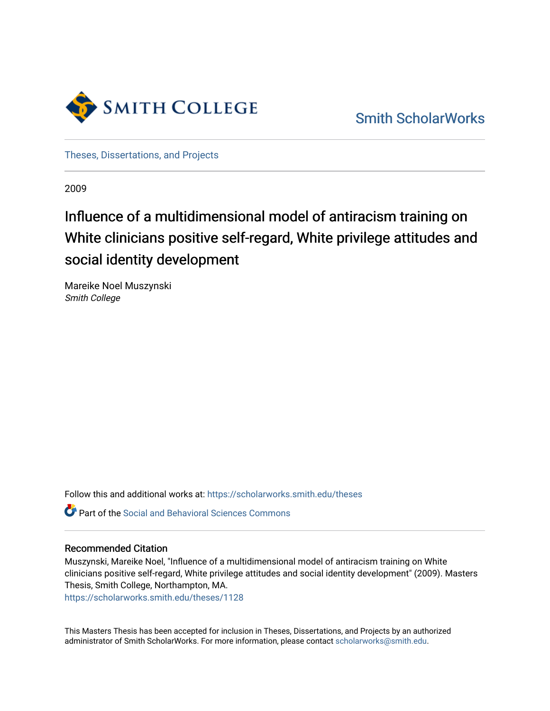

[Smith ScholarWorks](https://scholarworks.smith.edu/) 

[Theses, Dissertations, and Projects](https://scholarworks.smith.edu/theses) 

2009

# Influence of a multidimensional model of antiracism training on White clinicians positive self-regard, White privilege attitudes and social identity development

Mareike Noel Muszynski Smith College

Follow this and additional works at: [https://scholarworks.smith.edu/theses](https://scholarworks.smith.edu/theses?utm_source=scholarworks.smith.edu%2Ftheses%2F1128&utm_medium=PDF&utm_campaign=PDFCoverPages) 

Part of the [Social and Behavioral Sciences Commons](http://network.bepress.com/hgg/discipline/316?utm_source=scholarworks.smith.edu%2Ftheses%2F1128&utm_medium=PDF&utm_campaign=PDFCoverPages) 

#### Recommended Citation

Muszynski, Mareike Noel, "Influence of a multidimensional model of antiracism training on White clinicians positive self-regard, White privilege attitudes and social identity development" (2009). Masters Thesis, Smith College, Northampton, MA.

[https://scholarworks.smith.edu/theses/1128](https://scholarworks.smith.edu/theses/1128?utm_source=scholarworks.smith.edu%2Ftheses%2F1128&utm_medium=PDF&utm_campaign=PDFCoverPages)

This Masters Thesis has been accepted for inclusion in Theses, Dissertations, and Projects by an authorized administrator of Smith ScholarWorks. For more information, please contact [scholarworks@smith.edu](mailto:scholarworks@smith.edu).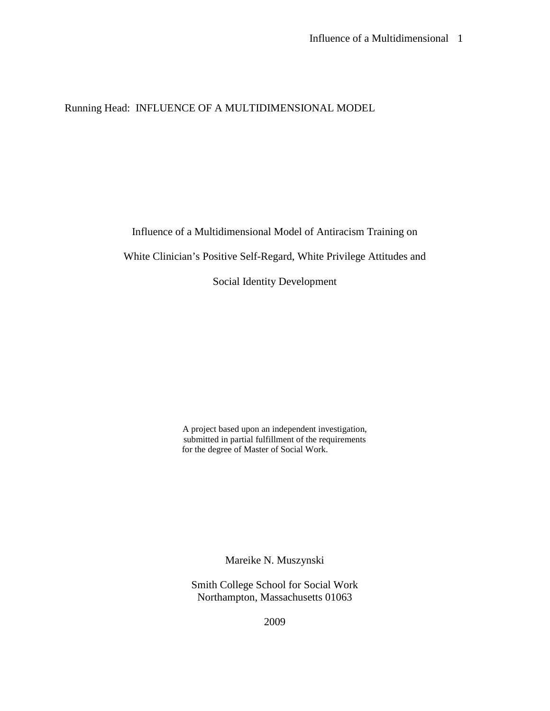Running Head: INFLUENCE OF A MULTIDIMENSIONAL MODEL

Influence of a Multidimensional Model of Antiracism Training on

White Clinician's Positive Self-Regard, White Privilege Attitudes and

Social Identity Development

A project based upon an independent investigation, submitted in partial fulfillment of the requirements for the degree of Master of Social Work.

Mareike N. Muszynski

Smith College School for Social Work Northampton, Massachusetts 01063

2009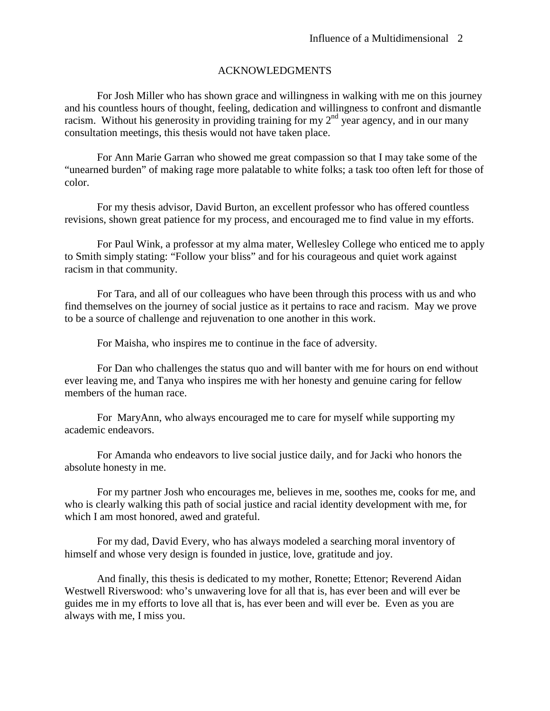#### ACKNOWLEDGMENTS

For Josh Miller who has shown grace and willingness in walking with me on this journey and his countless hours of thought, feeling, dedication and willingness to confront and dismantle racism. Without his generosity in providing training for my  $2<sup>nd</sup>$  year agency, and in our many consultation meetings, this thesis would not have taken place.

For Ann Marie Garran who showed me great compassion so that I may take some of the "unearned burden" of making rage more palatable to white folks; a task too often left for those of color.

For my thesis advisor, David Burton, an excellent professor who has offered countless revisions, shown great patience for my process, and encouraged me to find value in my efforts.

For Paul Wink, a professor at my alma mater, Wellesley College who enticed me to apply to Smith simply stating: "Follow your bliss" and for his courageous and quiet work against racism in that community.

For Tara, and all of our colleagues who have been through this process with us and who find themselves on the journey of social justice as it pertains to race and racism. May we prove to be a source of challenge and rejuvenation to one another in this work.

For Maisha, who inspires me to continue in the face of adversity.

For Dan who challenges the status quo and will banter with me for hours on end without ever leaving me, and Tanya who inspires me with her honesty and genuine caring for fellow members of the human race.

For MaryAnn, who always encouraged me to care for myself while supporting my academic endeavors.

For Amanda who endeavors to live social justice daily, and for Jacki who honors the absolute honesty in me.

For my partner Josh who encourages me, believes in me, soothes me, cooks for me, and who is clearly walking this path of social justice and racial identity development with me, for which I am most honored, awed and grateful.

For my dad, David Every, who has always modeled a searching moral inventory of himself and whose very design is founded in justice, love, gratitude and joy.

And finally, this thesis is dedicated to my mother, Ronette; Ettenor; Reverend Aidan Westwell Riverswood: who's unwavering love for all that is, has ever been and will ever be guides me in my efforts to love all that is, has ever been and will ever be. Even as you are always with me, I miss you.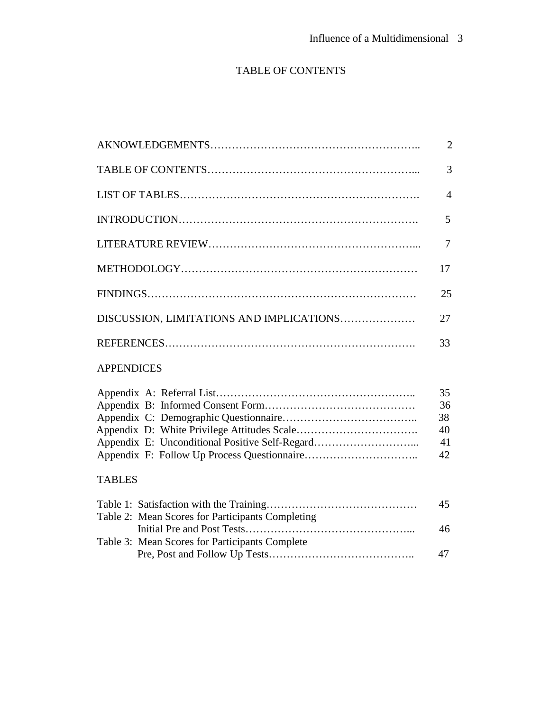## TABLE OF CONTENTS

|                                                  | $\overline{2}$                   |
|--------------------------------------------------|----------------------------------|
|                                                  | 3                                |
|                                                  | $\overline{4}$                   |
|                                                  | 5                                |
|                                                  | 7                                |
|                                                  | 17                               |
|                                                  | 25                               |
| DISCUSSION, LIMITATIONS AND IMPLICATIONS         | 27                               |
|                                                  | 33                               |
| <b>APPENDICES</b>                                |                                  |
| Appendix E: Unconditional Positive Self-Regard   | 35<br>36<br>38<br>40<br>41<br>42 |
| <b>TABLES</b>                                    |                                  |
| Table 2: Mean Scores for Participants Completing | 45<br>46                         |
| Table 3: Mean Scores for Participants Complete   | 47                               |
|                                                  |                                  |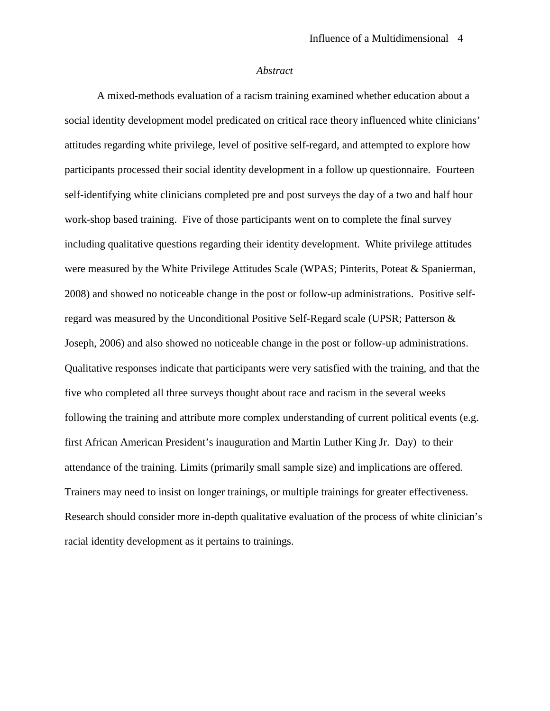#### *Abstract*

A mixed-methods evaluation of a racism training examined whether education about a social identity development model predicated on critical race theory influenced white clinicians' attitudes regarding white privilege, level of positive self-regard, and attempted to explore how participants processed their social identity development in a follow up questionnaire. Fourteen self-identifying white clinicians completed pre and post surveys the day of a two and half hour work-shop based training. Five of those participants went on to complete the final survey including qualitative questions regarding their identity development. White privilege attitudes were measured by the White Privilege Attitudes Scale (WPAS; Pinterits, Poteat & Spanierman, 2008) and showed no noticeable change in the post or follow-up administrations. Positive selfregard was measured by the Unconditional Positive Self-Regard scale (UPSR; Patterson & Joseph, 2006) and also showed no noticeable change in the post or follow-up administrations. Qualitative responses indicate that participants were very satisfied with the training, and that the five who completed all three surveys thought about race and racism in the several weeks following the training and attribute more complex understanding of current political events (e.g. first African American President's inauguration and Martin Luther King Jr. Day) to their attendance of the training. Limits (primarily small sample size) and implications are offered. Trainers may need to insist on longer trainings, or multiple trainings for greater effectiveness. Research should consider more in-depth qualitative evaluation of the process of white clinician's racial identity development as it pertains to trainings.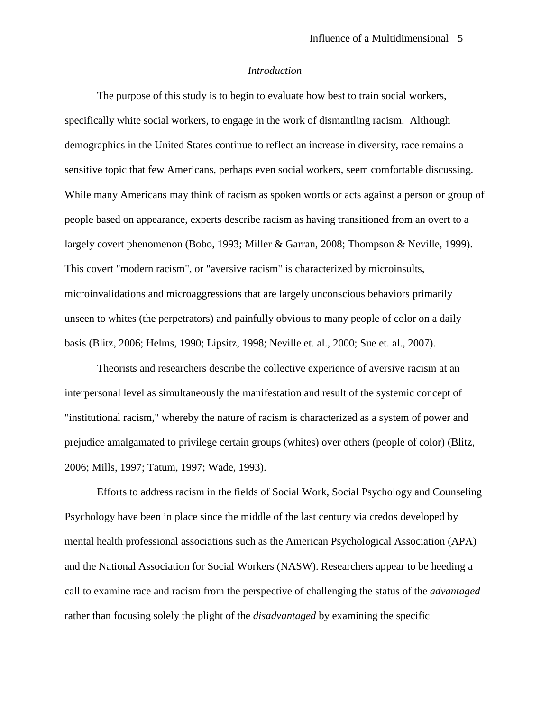#### *Introduction*

The purpose of this study is to begin to evaluate how best to train social workers, specifically white social workers, to engage in the work of dismantling racism. Although demographics in the United States continue to reflect an increase in diversity, race remains a sensitive topic that few Americans, perhaps even social workers, seem comfortable discussing. While many Americans may think of racism as spoken words or acts against a person or group of people based on appearance, experts describe racism as having transitioned from an overt to a largely covert phenomenon (Bobo, 1993; Miller & Garran, 2008; Thompson & Neville, 1999). This covert "modern racism", or "aversive racism" is characterized by microinsults, microinvalidations and microaggressions that are largely unconscious behaviors primarily unseen to whites (the perpetrators) and painfully obvious to many people of color on a daily basis (Blitz, 2006; Helms, 1990; Lipsitz, 1998; Neville et. al., 2000; Sue et. al., 2007).

Theorists and researchers describe the collective experience of aversive racism at an interpersonal level as simultaneously the manifestation and result of the systemic concept of "institutional racism," whereby the nature of racism is characterized as a system of power and prejudice amalgamated to privilege certain groups (whites) over others (people of color) (Blitz, 2006; Mills, 1997; Tatum, 1997; Wade, 1993).

Efforts to address racism in the fields of Social Work, Social Psychology and Counseling Psychology have been in place since the middle of the last century via credos developed by mental health professional associations such as the American Psychological Association (APA) and the National Association for Social Workers (NASW). Researchers appear to be heeding a call to examine race and racism from the perspective of challenging the status of the *advantaged* rather than focusing solely the plight of the *disadvantaged* by examining the specific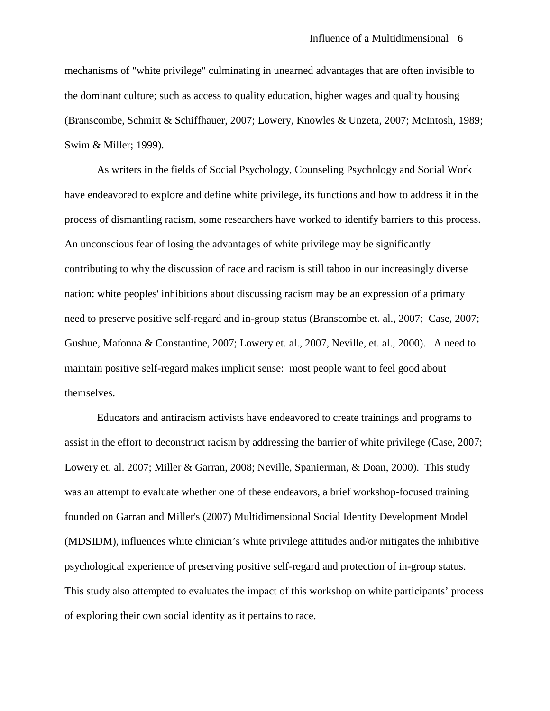mechanisms of "white privilege" culminating in unearned advantages that are often invisible to the dominant culture; such as access to quality education, higher wages and quality housing (Branscombe, Schmitt & Schiffhauer, 2007; Lowery, Knowles & Unzeta, 2007; McIntosh, 1989; Swim & Miller; 1999).

As writers in the fields of Social Psychology, Counseling Psychology and Social Work have endeavored to explore and define white privilege, its functions and how to address it in the process of dismantling racism, some researchers have worked to identify barriers to this process. An unconscious fear of losing the advantages of white privilege may be significantly contributing to why the discussion of race and racism is still taboo in our increasingly diverse nation: white peoples' inhibitions about discussing racism may be an expression of a primary need to preserve positive self-regard and in-group status (Branscombe et. al., 2007; Case, 2007; Gushue, Mafonna & Constantine, 2007; Lowery et. al., 2007, Neville, et. al., 2000). A need to maintain positive self-regard makes implicit sense: most people want to feel good about themselves.

Educators and antiracism activists have endeavored to create trainings and programs to assist in the effort to deconstruct racism by addressing the barrier of white privilege (Case, 2007; Lowery et. al. 2007; Miller & Garran, 2008; Neville, Spanierman, & Doan, 2000). This study was an attempt to evaluate whether one of these endeavors, a brief workshop-focused training founded on Garran and Miller's (2007) Multidimensional Social Identity Development Model (MDSIDM), influences white clinician's white privilege attitudes and/or mitigates the inhibitive psychological experience of preserving positive self-regard and protection of in-group status. This study also attempted to evaluates the impact of this workshop on white participants' process of exploring their own social identity as it pertains to race.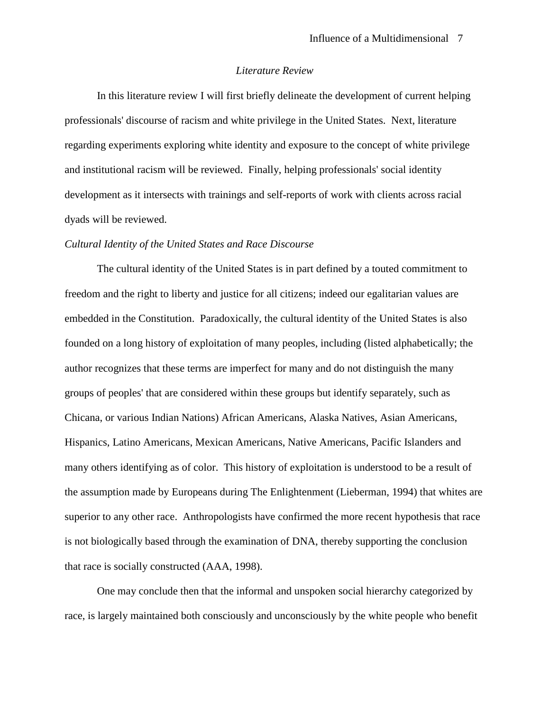#### *Literature Review*

In this literature review I will first briefly delineate the development of current helping professionals' discourse of racism and white privilege in the United States. Next, literature regarding experiments exploring white identity and exposure to the concept of white privilege and institutional racism will be reviewed. Finally, helping professionals' social identity development as it intersects with trainings and self-reports of work with clients across racial dyads will be reviewed.

#### *Cultural Identity of the United States and Race Discourse*

The cultural identity of the United States is in part defined by a touted commitment to freedom and the right to liberty and justice for all citizens; indeed our egalitarian values are embedded in the Constitution. Paradoxically, the cultural identity of the United States is also founded on a long history of exploitation of many peoples, including (listed alphabetically; the author recognizes that these terms are imperfect for many and do not distinguish the many groups of peoples' that are considered within these groups but identify separately, such as Chicana, or various Indian Nations) African Americans, Alaska Natives, Asian Americans, Hispanics, Latino Americans, Mexican Americans, Native Americans, Pacific Islanders and many others identifying as of color. This history of exploitation is understood to be a result of the assumption made by Europeans during The Enlightenment (Lieberman, 1994) that whites are superior to any other race. Anthropologists have confirmed the more recent hypothesis that race is not biologically based through the examination of DNA, thereby supporting the conclusion that race is socially constructed (AAA, 1998).

One may conclude then that the informal and unspoken social hierarchy categorized by race, is largely maintained both consciously and unconsciously by the white people who benefit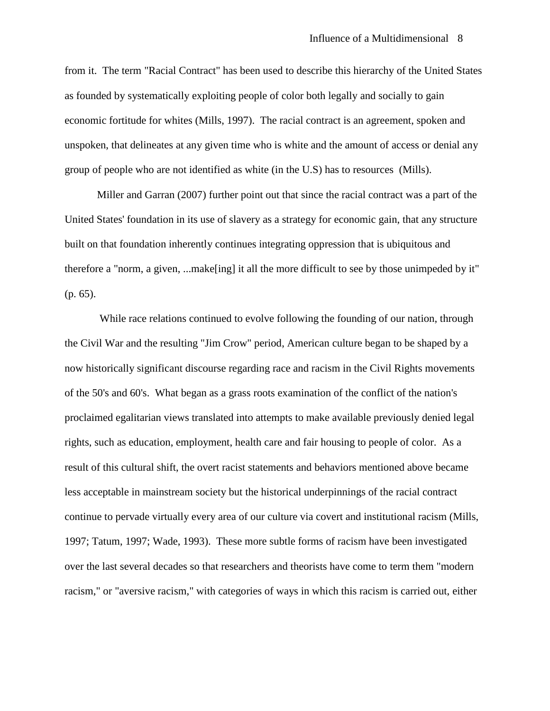from it. The term "Racial Contract" has been used to describe this hierarchy of the United States as founded by systematically exploiting people of color both legally and socially to gain economic fortitude for whites (Mills, 1997). The racial contract is an agreement, spoken and unspoken, that delineates at any given time who is white and the amount of access or denial any group of people who are not identified as white (in the U.S) has to resources (Mills).

Miller and Garran (2007) further point out that since the racial contract was a part of the United States' foundation in its use of slavery as a strategy for economic gain, that any structure built on that foundation inherently continues integrating oppression that is ubiquitous and therefore a "norm, a given, ...make[ing] it all the more difficult to see by those unimpeded by it" (p. 65).

While race relations continued to evolve following the founding of our nation, through the Civil War and the resulting "Jim Crow" period, American culture began to be shaped by a now historically significant discourse regarding race and racism in the Civil Rights movements of the 50's and 60's. What began as a grass roots examination of the conflict of the nation's proclaimed egalitarian views translated into attempts to make available previously denied legal rights, such as education, employment, health care and fair housing to people of color. As a result of this cultural shift, the overt racist statements and behaviors mentioned above became less acceptable in mainstream society but the historical underpinnings of the racial contract continue to pervade virtually every area of our culture via covert and institutional racism (Mills, 1997; Tatum, 1997; Wade, 1993). These more subtle forms of racism have been investigated over the last several decades so that researchers and theorists have come to term them "modern racism," or "aversive racism," with categories of ways in which this racism is carried out, either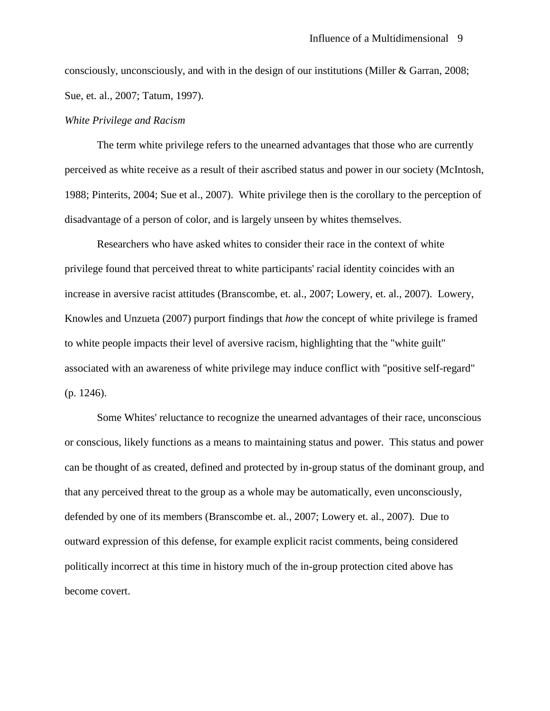consciously, unconsciously, and with in the design of our institutions (Miller & Garran, 2008; Sue, et. al., 2007; Tatum, 1997).

#### *White Privilege and Racism*

The term white privilege refers to the unearned advantages that those who are currently perceived as white receive as a result of their ascribed status and power in our society (McIntosh, 1988; Pinterits, 2004; Sue et al., 2007). White privilege then is the corollary to the perception of disadvantage of a person of color, and is largely unseen by whites themselves.

Researchers who have asked whites to consider their race in the context of white privilege found that perceived threat to white participants' racial identity coincides with an increase in aversive racist attitudes (Branscombe, et. al., 2007; Lowery, et. al., 2007). Lowery, Knowles and Unzueta (2007) purport findings that *how* the concept of white privilege is framed to white people impacts their level of aversive racism, highlighting that the "white guilt" associated with an awareness of white privilege may induce conflict with "positive self-regard" (p. 1246).

Some Whites' reluctance to recognize the unearned advantages of their race, unconscious or conscious, likely functions as a means to maintaining status and power. This status and power can be thought of as created, defined and protected by in-group status of the dominant group, and that any perceived threat to the group as a whole may be automatically, even unconsciously, defended by one of its members (Branscombe et. al., 2007; Lowery et. al., 2007). Due to outward expression of this defense, for example explicit racist comments, being considered politically incorrect at this time in history much of the in-group protection cited above has become covert.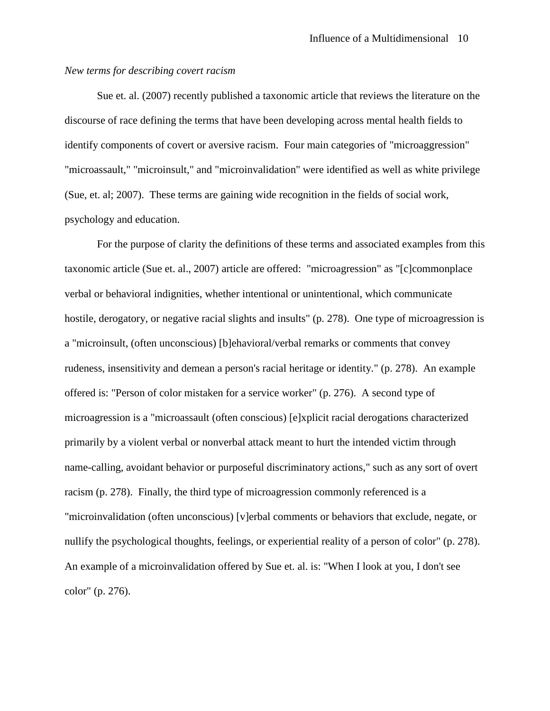#### *New terms for describing covert racism*

Sue et. al. (2007) recently published a taxonomic article that reviews the literature on the discourse of race defining the terms that have been developing across mental health fields to identify components of covert or aversive racism. Four main categories of "microaggression" "microassault," "microinsult," and "microinvalidation" were identified as well as white privilege (Sue, et. al; 2007). These terms are gaining wide recognition in the fields of social work, psychology and education.

For the purpose of clarity the definitions of these terms and associated examples from this taxonomic article (Sue et. al., 2007) article are offered: "microagression" as "[c]commonplace verbal or behavioral indignities, whether intentional or unintentional, which communicate hostile, derogatory, or negative racial slights and insults" (p. 278). One type of microagression is a "microinsult, (often unconscious) [b]ehavioral/verbal remarks or comments that convey rudeness, insensitivity and demean a person's racial heritage or identity." (p. 278). An example offered is: "Person of color mistaken for a service worker" (p. 276). A second type of microagression is a "microassault (often conscious) [e]xplicit racial derogations characterized primarily by a violent verbal or nonverbal attack meant to hurt the intended victim through name-calling, avoidant behavior or purposeful discriminatory actions," such as any sort of overt racism (p. 278). Finally, the third type of microagression commonly referenced is a "microinvalidation (often unconscious) [v]erbal comments or behaviors that exclude, negate, or nullify the psychological thoughts, feelings, or experiential reality of a person of color" (p. 278). An example of a microinvalidation offered by Sue et. al. is: "When I look at you, I don't see color" (p. 276).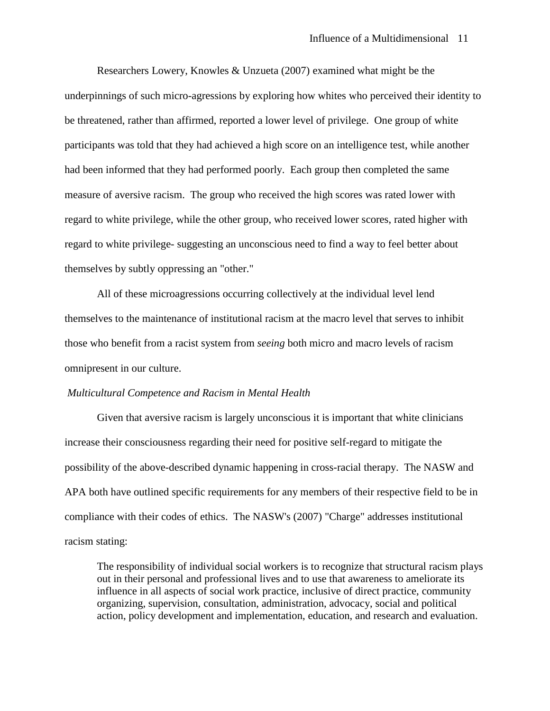Researchers Lowery, Knowles & Unzueta (2007) examined what might be the underpinnings of such micro-agressions by exploring how whites who perceived their identity to be threatened, rather than affirmed, reported a lower level of privilege. One group of white participants was told that they had achieved a high score on an intelligence test, while another had been informed that they had performed poorly. Each group then completed the same measure of aversive racism. The group who received the high scores was rated lower with regard to white privilege, while the other group, who received lower scores, rated higher with regard to white privilege- suggesting an unconscious need to find a way to feel better about themselves by subtly oppressing an "other."

All of these microagressions occurring collectively at the individual level lend themselves to the maintenance of institutional racism at the macro level that serves to inhibit those who benefit from a racist system from *seeing* both micro and macro levels of racism omnipresent in our culture.

#### *Multicultural Competence and Racism in Mental Health*

Given that aversive racism is largely unconscious it is important that white clinicians increase their consciousness regarding their need for positive self-regard to mitigate the possibility of the above-described dynamic happening in cross-racial therapy. The NASW and APA both have outlined specific requirements for any members of their respective field to be in compliance with their codes of ethics. The NASW's (2007) "Charge" addresses institutional racism stating:

The responsibility of individual social workers is to recognize that structural racism plays out in their personal and professional lives and to use that awareness to ameliorate its influence in all aspects of social work practice, inclusive of direct practice, community organizing, supervision, consultation, administration, advocacy, social and political action, policy development and implementation, education, and research and evaluation.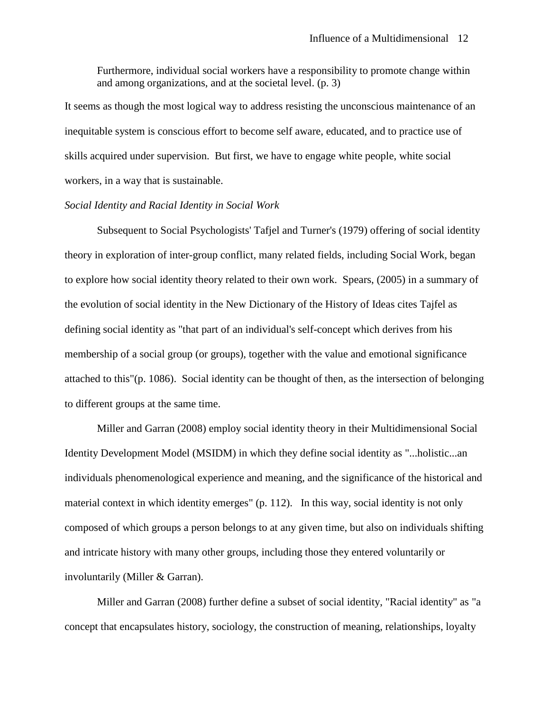Furthermore, individual social workers have a responsibility to promote change within and among organizations, and at the societal level. (p. 3)

It seems as though the most logical way to address resisting the unconscious maintenance of an inequitable system is conscious effort to become self aware, educated, and to practice use of skills acquired under supervision. But first, we have to engage white people, white social workers, in a way that is sustainable.

#### *Social Identity and Racial Identity in Social Work*

Subsequent to Social Psychologists' Tafjel and Turner's (1979) offering of social identity theory in exploration of inter-group conflict, many related fields, including Social Work, began to explore how social identity theory related to their own work. Spears, (2005) in a summary of the evolution of social identity in the New Dictionary of the History of Ideas cites Tajfel as defining social identity as "that part of an individual's self-concept which derives from his membership of a social group (or groups), together with the value and emotional significance attached to this"(p. 1086). Social identity can be thought of then, as the intersection of belonging to different groups at the same time.

Miller and Garran (2008) employ social identity theory in their Multidimensional Social Identity Development Model (MSIDM) in which they define social identity as "...holistic...an individuals phenomenological experience and meaning, and the significance of the historical and material context in which identity emerges" (p. 112). In this way, social identity is not only composed of which groups a person belongs to at any given time, but also on individuals shifting and intricate history with many other groups, including those they entered voluntarily or involuntarily (Miller & Garran).

Miller and Garran (2008) further define a subset of social identity, "Racial identity" as "a concept that encapsulates history, sociology, the construction of meaning, relationships, loyalty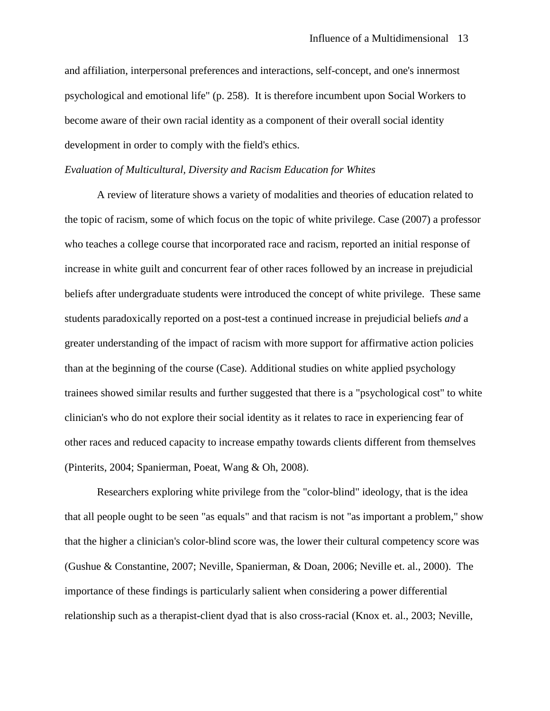and affiliation, interpersonal preferences and interactions, self-concept, and one's innermost psychological and emotional life" (p. 258). It is therefore incumbent upon Social Workers to become aware of their own racial identity as a component of their overall social identity development in order to comply with the field's ethics.

#### *Evaluation of Multicultural, Diversity and Racism Education for Whites*

A review of literature shows a variety of modalities and theories of education related to the topic of racism, some of which focus on the topic of white privilege. Case (2007) a professor who teaches a college course that incorporated race and racism, reported an initial response of increase in white guilt and concurrent fear of other races followed by an increase in prejudicial beliefs after undergraduate students were introduced the concept of white privilege. These same students paradoxically reported on a post-test a continued increase in prejudicial beliefs *and* a greater understanding of the impact of racism with more support for affirmative action policies than at the beginning of the course (Case). Additional studies on white applied psychology trainees showed similar results and further suggested that there is a "psychological cost" to white clinician's who do not explore their social identity as it relates to race in experiencing fear of other races and reduced capacity to increase empathy towards clients different from themselves (Pinterits, 2004; Spanierman, Poeat, Wang & Oh, 2008).

Researchers exploring white privilege from the "color-blind" ideology, that is the idea that all people ought to be seen "as equals" and that racism is not "as important a problem," show that the higher a clinician's color-blind score was, the lower their cultural competency score was (Gushue & Constantine, 2007; Neville, Spanierman, & Doan, 2006; Neville et. al., 2000). The importance of these findings is particularly salient when considering a power differential relationship such as a therapist-client dyad that is also cross-racial (Knox et. al., 2003; Neville,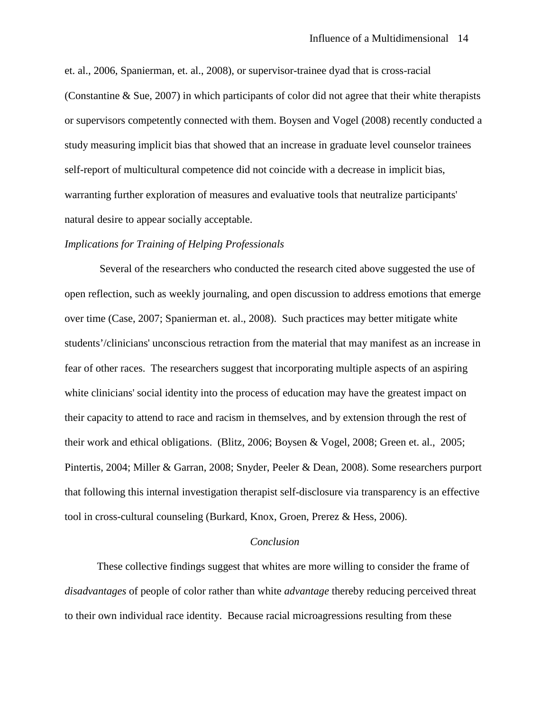et. al., 2006, Spanierman, et. al., 2008), or supervisor-trainee dyad that is cross-racial (Constantine & Sue, 2007) in which participants of color did not agree that their white therapists or supervisors competently connected with them. Boysen and Vogel (2008) recently conducted a study measuring implicit bias that showed that an increase in graduate level counselor trainees self-report of multicultural competence did not coincide with a decrease in implicit bias, warranting further exploration of measures and evaluative tools that neutralize participants' natural desire to appear socially acceptable.

#### *Implications for Training of Helping Professionals*

Several of the researchers who conducted the research cited above suggested the use of open reflection, such as weekly journaling, and open discussion to address emotions that emerge over time (Case, 2007; Spanierman et. al., 2008). Such practices may better mitigate white students'/clinicians' unconscious retraction from the material that may manifest as an increase in fear of other races. The researchers suggest that incorporating multiple aspects of an aspiring white clinicians' social identity into the process of education may have the greatest impact on their capacity to attend to race and racism in themselves, and by extension through the rest of their work and ethical obligations. (Blitz, 2006; Boysen & Vogel, 2008; Green et. al., 2005; Pintertis, 2004; Miller & Garran, 2008; Snyder, Peeler & Dean, 2008). Some researchers purport that following this internal investigation therapist self-disclosure via transparency is an effective tool in cross-cultural counseling (Burkard, Knox, Groen, Prerez & Hess, 2006).

#### *Conclusion*

These collective findings suggest that whites are more willing to consider the frame of *disadvantages* of people of color rather than white *advantage* thereby reducing perceived threat to their own individual race identity. Because racial microagressions resulting from these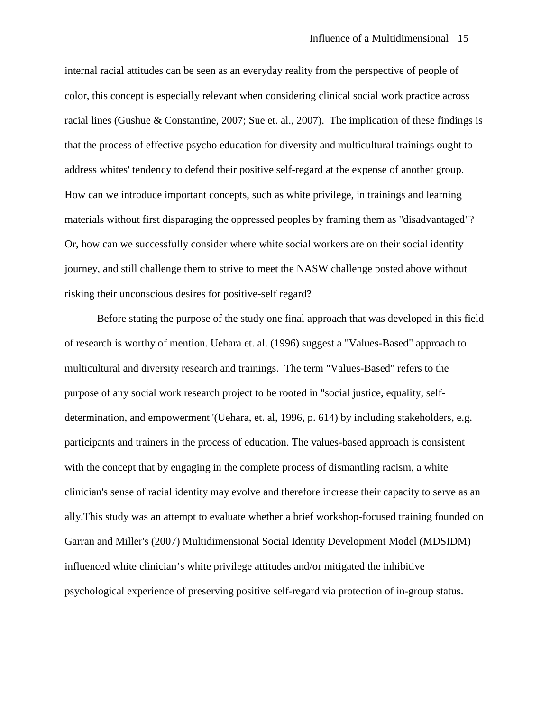internal racial attitudes can be seen as an everyday reality from the perspective of people of color, this concept is especially relevant when considering clinical social work practice across racial lines (Gushue & Constantine, 2007; Sue et. al., 2007). The implication of these findings is that the process of effective psycho education for diversity and multicultural trainings ought to address whites' tendency to defend their positive self-regard at the expense of another group. How can we introduce important concepts, such as white privilege, in trainings and learning materials without first disparaging the oppressed peoples by framing them as "disadvantaged"? Or, how can we successfully consider where white social workers are on their social identity journey, and still challenge them to strive to meet the NASW challenge posted above without risking their unconscious desires for positive-self regard?

Before stating the purpose of the study one final approach that was developed in this field of research is worthy of mention. Uehara et. al. (1996) suggest a "Values-Based" approach to multicultural and diversity research and trainings. The term "Values-Based" refers to the purpose of any social work research project to be rooted in "social justice, equality, selfdetermination, and empowerment"(Uehara, et. al, 1996, p. 614) by including stakeholders, e.g. participants and trainers in the process of education. The values-based approach is consistent with the concept that by engaging in the complete process of dismantling racism, a white clinician's sense of racial identity may evolve and therefore increase their capacity to serve as an ally.This study was an attempt to evaluate whether a brief workshop-focused training founded on Garran and Miller's (2007) Multidimensional Social Identity Development Model (MDSIDM) influenced white clinician's white privilege attitudes and/or mitigated the inhibitive psychological experience of preserving positive self-regard via protection of in-group status.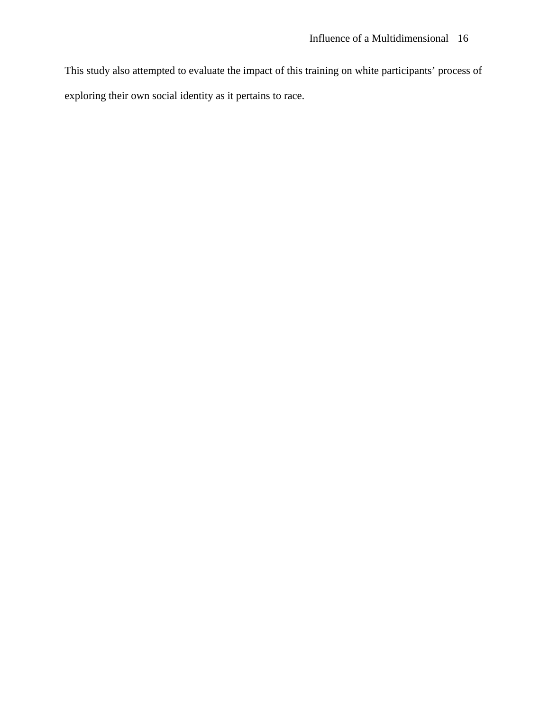This study also attempted to evaluate the impact of this training on white participants' process of exploring their own social identity as it pertains to race.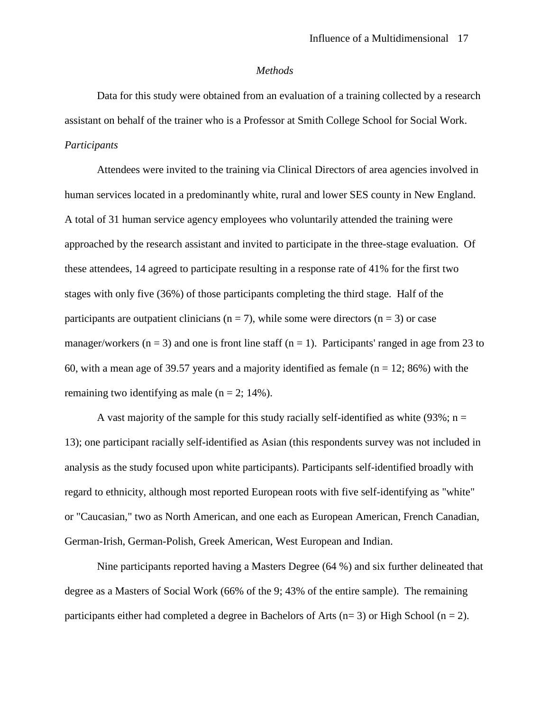#### *Methods*

Data for this study were obtained from an evaluation of a training collected by a research assistant on behalf of the trainer who is a Professor at Smith College School for Social Work. *Participants*

Attendees were invited to the training via Clinical Directors of area agencies involved in human services located in a predominantly white, rural and lower SES county in New England. A total of 31 human service agency employees who voluntarily attended the training were approached by the research assistant and invited to participate in the three-stage evaluation. Of these attendees, 14 agreed to participate resulting in a response rate of 41% for the first two stages with only five (36%) of those participants completing the third stage. Half of the participants are outpatient clinicians ( $n = 7$ ), while some were directors ( $n = 3$ ) or case manager/workers ( $n = 3$ ) and one is front line staff ( $n = 1$ ). Participants' ranged in age from 23 to 60, with a mean age of 39.57 years and a majority identified as female  $(n = 12; 86%)$  with the remaining two identifying as male  $(n = 2; 14\%)$ .

A vast majority of the sample for this study racially self-identified as white (93%;  $n =$ 13); one participant racially self-identified as Asian (this respondents survey was not included in analysis as the study focused upon white participants). Participants self-identified broadly with regard to ethnicity, although most reported European roots with five self-identifying as "white" or "Caucasian," two as North American, and one each as European American, French Canadian, German-Irish, German-Polish, Greek American, West European and Indian.

Nine participants reported having a Masters Degree (64 %) and six further delineated that degree as a Masters of Social Work (66% of the 9; 43% of the entire sample). The remaining participants either had completed a degree in Bachelors of Arts ( $n=3$ ) or High School ( $n=2$ ).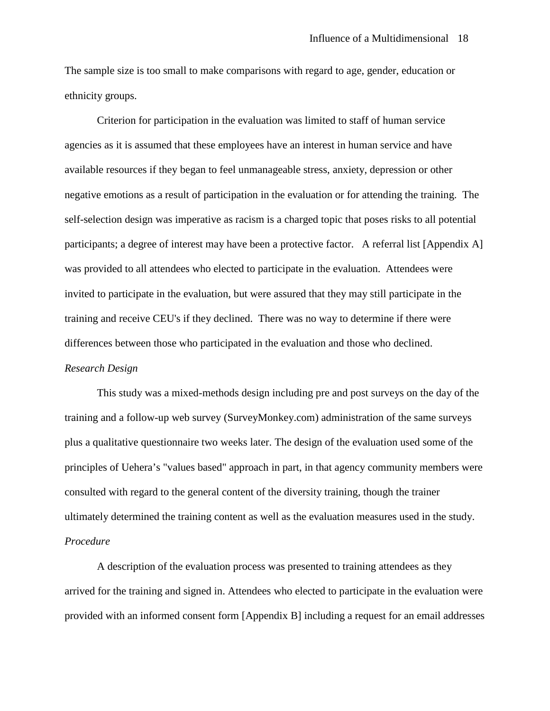The sample size is too small to make comparisons with regard to age, gender, education or ethnicity groups.

Criterion for participation in the evaluation was limited to staff of human service agencies as it is assumed that these employees have an interest in human service and have available resources if they began to feel unmanageable stress, anxiety, depression or other negative emotions as a result of participation in the evaluation or for attending the training. The self-selection design was imperative as racism is a charged topic that poses risks to all potential participants; a degree of interest may have been a protective factor. A referral list [Appendix A] was provided to all attendees who elected to participate in the evaluation. Attendees were invited to participate in the evaluation, but were assured that they may still participate in the training and receive CEU's if they declined. There was no way to determine if there were differences between those who participated in the evaluation and those who declined. *Research Design*

This study was a mixed-methods design including pre and post surveys on the day of the training and a follow-up web survey (SurveyMonkey.com) administration of the same surveys plus a qualitative questionnaire two weeks later. The design of the evaluation used some of the principles of Uehera's "values based" approach in part, in that agency community members were consulted with regard to the general content of the diversity training, though the trainer ultimately determined the training content as well as the evaluation measures used in the study. *Procedure*

A description of the evaluation process was presented to training attendees as they arrived for the training and signed in. Attendees who elected to participate in the evaluation were provided with an informed consent form [Appendix B] including a request for an email addresses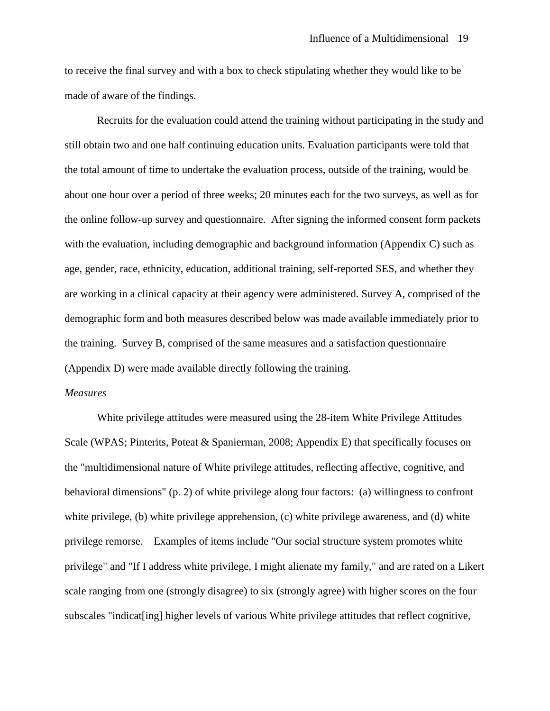to receive the final survey and with a box to check stipulating whether they would like to be made of aware of the findings.

Recruits for the evaluation could attend the training without participating in the study and still obtain two and one half continuing education units. Evaluation participants were told that the total amount of time to undertake the evaluation process, outside of the training, would be about one hour over a period of three weeks; 20 minutes each for the two surveys, as well as for the online follow-up survey and questionnaire. After signing the informed consent form packets with the evaluation, including demographic and background information (Appendix C) such as age, gender, race, ethnicity, education, additional training, self-reported SES, and whether they are working in a clinical capacity at their agency were administered. Survey A, comprised of the demographic form and both measures described below was made available immediately prior to the training. Survey B, comprised of the same measures and a satisfaction questionnaire (Appendix D) were made available directly following the training.

#### *Measures*

White privilege attitudes were measured using the 28-item White Privilege Attitudes Scale (WPAS; Pinterits, Poteat & Spanierman, 2008; Appendix E) that specifically focuses on the "multidimensional nature of White privilege attitudes, reflecting affective, cognitive, and behavioral dimensions" (p. 2) of white privilege along four factors: (a) willingness to confront white privilege, (b) white privilege apprehension, (c) white privilege awareness, and (d) white privilege remorse. Examples of items include "Our social structure system promotes white privilege" and "If I address white privilege, I might alienate my family," and are rated on a Likert scale ranging from one (strongly disagree) to six (strongly agree) with higher scores on the four subscales "indicat [ing] higher levels of various White privilege attitudes that reflect cognitive,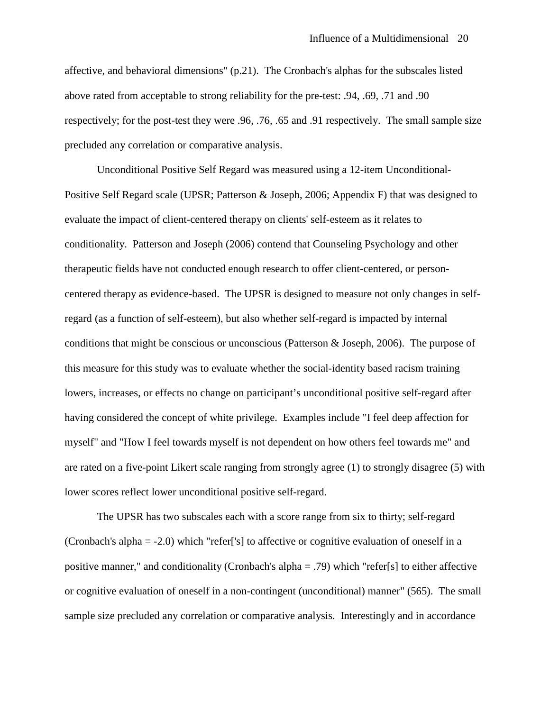affective, and behavioral dimensions" (p.21). The Cronbach's alphas for the subscales listed above rated from acceptable to strong reliability for the pre-test: .94, .69, .71 and .90 respectively; for the post-test they were .96, .76, .65 and .91 respectively. The small sample size precluded any correlation or comparative analysis.

Unconditional Positive Self Regard was measured using a 12-item Unconditional-Positive Self Regard scale (UPSR; Patterson & Joseph, 2006; Appendix F) that was designed to evaluate the impact of client-centered therapy on clients' self-esteem as it relates to conditionality. Patterson and Joseph (2006) contend that Counseling Psychology and other therapeutic fields have not conducted enough research to offer client-centered, or personcentered therapy as evidence-based. The UPSR is designed to measure not only changes in selfregard (as a function of self-esteem), but also whether self-regard is impacted by internal conditions that might be conscious or unconscious (Patterson & Joseph, 2006). The purpose of this measure for this study was to evaluate whether the social-identity based racism training lowers, increases, or effects no change on participant's unconditional positive self-regard after having considered the concept of white privilege. Examples include "I feel deep affection for myself" and "How I feel towards myself is not dependent on how others feel towards me" and are rated on a five-point Likert scale ranging from strongly agree (1) to strongly disagree (5) with lower scores reflect lower unconditional positive self-regard.

The UPSR has two subscales each with a score range from six to thirty; self-regard (Cronbach's alpha = -2.0) which "refer['s] to affective or cognitive evaluation of oneself in a positive manner," and conditionality (Cronbach's alpha = .79) which "refer[s] to either affective or cognitive evaluation of oneself in a non-contingent (unconditional) manner" (565). The small sample size precluded any correlation or comparative analysis. Interestingly and in accordance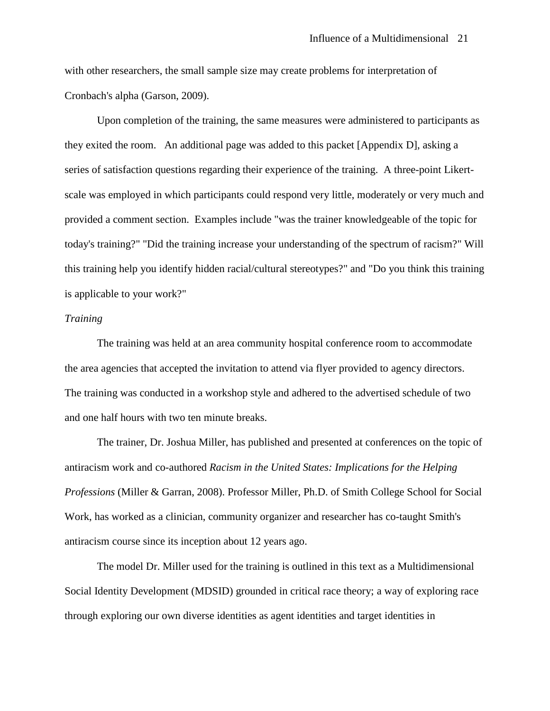with other researchers, the small sample size may create problems for interpretation of Cronbach's alpha (Garson, 2009).

Upon completion of the training, the same measures were administered to participants as they exited the room. An additional page was added to this packet [Appendix D], asking a series of satisfaction questions regarding their experience of the training. A three-point Likertscale was employed in which participants could respond very little, moderately or very much and provided a comment section. Examples include "was the trainer knowledgeable of the topic for today's training?" "Did the training increase your understanding of the spectrum of racism?" Will this training help you identify hidden racial/cultural stereotypes?" and "Do you think this training is applicable to your work?"

#### *Training*

The training was held at an area community hospital conference room to accommodate the area agencies that accepted the invitation to attend via flyer provided to agency directors. The training was conducted in a workshop style and adhered to the advertised schedule of two and one half hours with two ten minute breaks.

The trainer, Dr. Joshua Miller, has published and presented at conferences on the topic of antiracism work and co-authored *Racism in the United States: Implications for the Helping Professions* (Miller & Garran, 2008). Professor Miller, Ph.D. of Smith College School for Social Work, has worked as a clinician, community organizer and researcher has co-taught Smith's antiracism course since its inception about 12 years ago.

The model Dr. Miller used for the training is outlined in this text as a Multidimensional Social Identity Development (MDSID) grounded in critical race theory; a way of exploring race through exploring our own diverse identities as agent identities and target identities in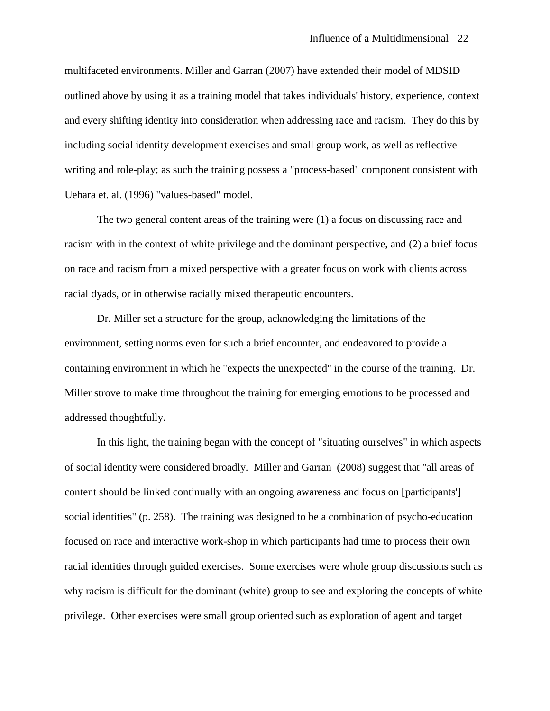multifaceted environments. Miller and Garran (2007) have extended their model of MDSID outlined above by using it as a training model that takes individuals' history, experience, context and every shifting identity into consideration when addressing race and racism. They do this by including social identity development exercises and small group work, as well as reflective writing and role-play; as such the training possess a "process-based" component consistent with Uehara et. al. (1996) "values-based" model.

The two general content areas of the training were (1) a focus on discussing race and racism with in the context of white privilege and the dominant perspective, and (2) a brief focus on race and racism from a mixed perspective with a greater focus on work with clients across racial dyads, or in otherwise racially mixed therapeutic encounters.

Dr. Miller set a structure for the group, acknowledging the limitations of the environment, setting norms even for such a brief encounter, and endeavored to provide a containing environment in which he "expects the unexpected" in the course of the training. Dr. Miller strove to make time throughout the training for emerging emotions to be processed and addressed thoughtfully.

In this light, the training began with the concept of "situating ourselves" in which aspects of social identity were considered broadly. Miller and Garran (2008) suggest that "all areas of content should be linked continually with an ongoing awareness and focus on [participants'] social identities" (p. 258). The training was designed to be a combination of psycho-education focused on race and interactive work-shop in which participants had time to process their own racial identities through guided exercises. Some exercises were whole group discussions such as why racism is difficult for the dominant (white) group to see and exploring the concepts of white privilege. Other exercises were small group oriented such as exploration of agent and target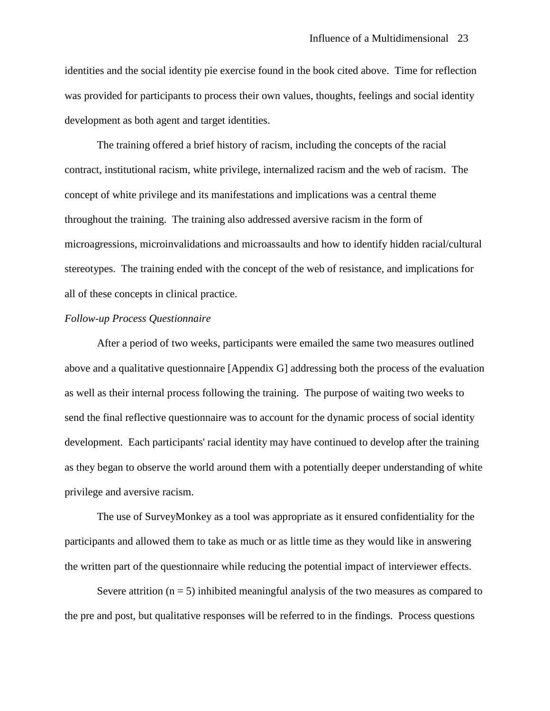identities and the social identity pie exercise found in the book cited above. Time for reflection was provided for participants to process their own values, thoughts, feelings and social identity development as both agent and target identities.

The training offered a brief history of racism, including the concepts of the racial contract, institutional racism, white privilege, internalized racism and the web of racism. The concept of white privilege and its manifestations and implications was a central theme throughout the training. The training also addressed aversive racism in the form of microagressions, microinvalidations and microassaults and how to identify hidden racial/cultural stereotypes. The training ended with the concept of the web of resistance, and implications for all of these concepts in clinical practice.

#### *Follow-up Process Questionnaire*

After a period of two weeks, participants were emailed the same two measures outlined above and a qualitative questionnaire [Appendix G] addressing both the process of the evaluation as well as their internal process following the training. The purpose of waiting two weeks to send the final reflective questionnaire was to account for the dynamic process of social identity development. Each participants' racial identity may have continued to develop after the training as they began to observe the world around them with a potentially deeper understanding of white privilege and aversive racism.

The use of SurveyMonkey as a tool was appropriate as it ensured confidentiality for the participants and allowed them to take as much or as little time as they would like in answering the written part of the questionnaire while reducing the potential impact of interviewer effects.

Severe attrition  $(n = 5)$  inhibited meaningful analysis of the two measures as compared to the pre and post, but qualitative responses will be referred to in the findings. Process questions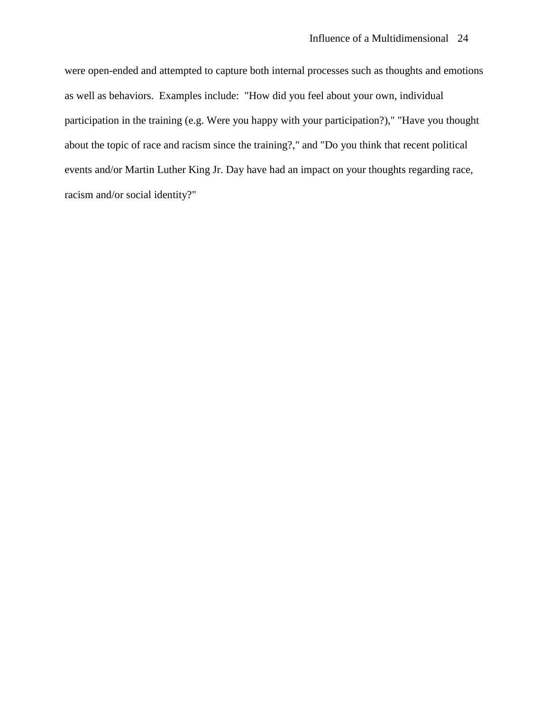were open-ended and attempted to capture both internal processes such as thoughts and emotions as well as behaviors. Examples include: "How did you feel about your own, individual participation in the training (e.g. Were you happy with your participation?)," "Have you thought about the topic of race and racism since the training?," and "Do you think that recent political events and/or Martin Luther King Jr. Day have had an impact on your thoughts regarding race, racism and/or social identity?"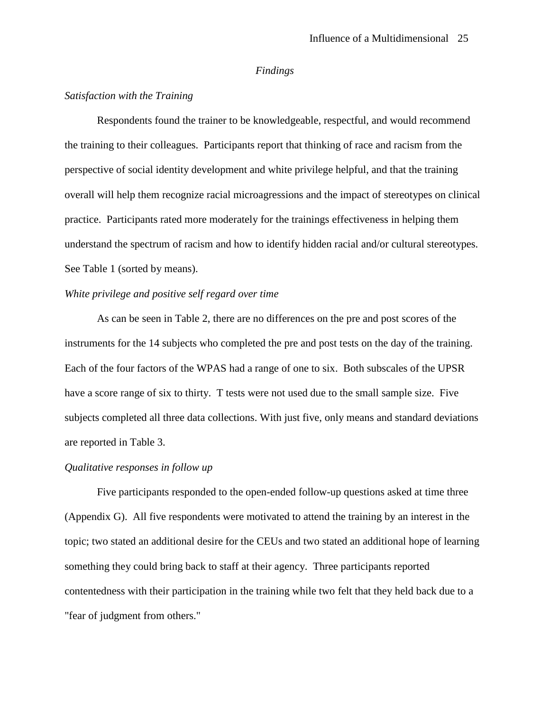#### *Findings*

#### *Satisfaction with the Training*

Respondents found the trainer to be knowledgeable, respectful, and would recommend the training to their colleagues. Participants report that thinking of race and racism from the perspective of social identity development and white privilege helpful, and that the training overall will help them recognize racial microagressions and the impact of stereotypes on clinical practice. Participants rated more moderately for the trainings effectiveness in helping them understand the spectrum of racism and how to identify hidden racial and/or cultural stereotypes. See Table 1 (sorted by means).

## *White privilege and positive self regard over time*

As can be seen in Table 2, there are no differences on the pre and post scores of the instruments for the 14 subjects who completed the pre and post tests on the day of the training. Each of the four factors of the WPAS had a range of one to six. Both subscales of the UPSR have a score range of six to thirty. T tests were not used due to the small sample size. Five subjects completed all three data collections. With just five, only means and standard deviations are reported in Table 3.

#### *Qualitative responses in follow up*

Five participants responded to the open-ended follow-up questions asked at time three (Appendix G). All five respondents were motivated to attend the training by an interest in the topic; two stated an additional desire for the CEUs and two stated an additional hope of learning something they could bring back to staff at their agency. Three participants reported contentedness with their participation in the training while two felt that they held back due to a "fear of judgment from others."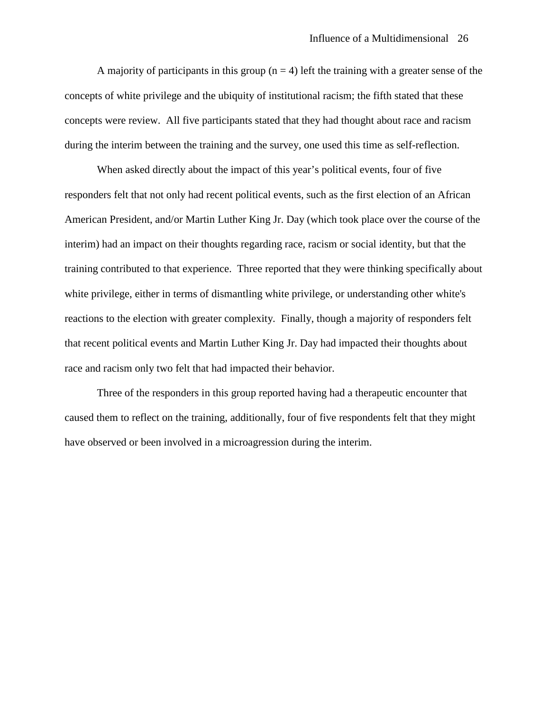A majority of participants in this group  $(n = 4)$  left the training with a greater sense of the concepts of white privilege and the ubiquity of institutional racism; the fifth stated that these concepts were review. All five participants stated that they had thought about race and racism during the interim between the training and the survey, one used this time as self-reflection.

When asked directly about the impact of this year's political events, four of five responders felt that not only had recent political events, such as the first election of an African American President, and/or Martin Luther King Jr. Day (which took place over the course of the interim) had an impact on their thoughts regarding race, racism or social identity, but that the training contributed to that experience. Three reported that they were thinking specifically about white privilege, either in terms of dismantling white privilege, or understanding other white's reactions to the election with greater complexity. Finally, though a majority of responders felt that recent political events and Martin Luther King Jr. Day had impacted their thoughts about race and racism only two felt that had impacted their behavior.

Three of the responders in this group reported having had a therapeutic encounter that caused them to reflect on the training, additionally, four of five respondents felt that they might have observed or been involved in a microagression during the interim.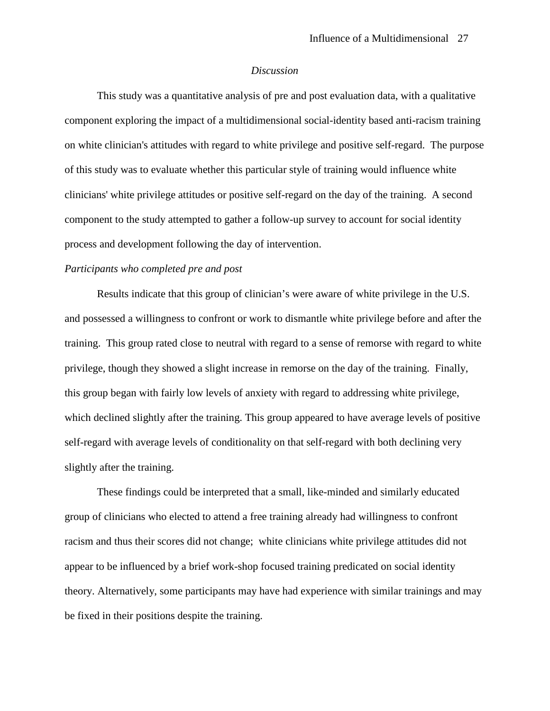#### *Discussion*

This study was a quantitative analysis of pre and post evaluation data, with a qualitative component exploring the impact of a multidimensional social-identity based anti-racism training on white clinician's attitudes with regard to white privilege and positive self-regard. The purpose of this study was to evaluate whether this particular style of training would influence white clinicians' white privilege attitudes or positive self-regard on the day of the training. A second component to the study attempted to gather a follow-up survey to account for social identity process and development following the day of intervention.

### *Participants who completed pre and post*

Results indicate that this group of clinician's were aware of white privilege in the U.S. and possessed a willingness to confront or work to dismantle white privilege before and after the training. This group rated close to neutral with regard to a sense of remorse with regard to white privilege, though they showed a slight increase in remorse on the day of the training. Finally, this group began with fairly low levels of anxiety with regard to addressing white privilege, which declined slightly after the training. This group appeared to have average levels of positive self-regard with average levels of conditionality on that self-regard with both declining very slightly after the training.

These findings could be interpreted that a small, like-minded and similarly educated group of clinicians who elected to attend a free training already had willingness to confront racism and thus their scores did not change; white clinicians white privilege attitudes did not appear to be influenced by a brief work-shop focused training predicated on social identity theory. Alternatively, some participants may have had experience with similar trainings and may be fixed in their positions despite the training.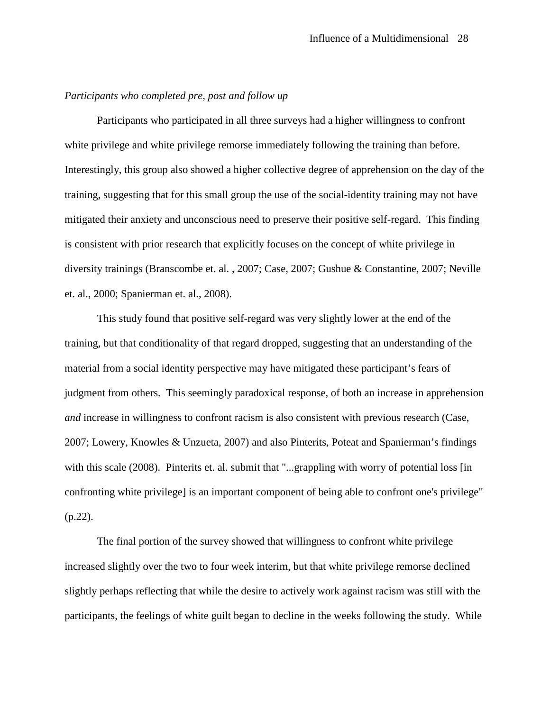#### *Participants who completed pre, post and follow up*

Participants who participated in all three surveys had a higher willingness to confront white privilege and white privilege remorse immediately following the training than before. Interestingly, this group also showed a higher collective degree of apprehension on the day of the training, suggesting that for this small group the use of the social-identity training may not have mitigated their anxiety and unconscious need to preserve their positive self-regard. This finding is consistent with prior research that explicitly focuses on the concept of white privilege in diversity trainings (Branscombe et. al. , 2007; Case, 2007; Gushue & Constantine, 2007; Neville et. al., 2000; Spanierman et. al., 2008).

This study found that positive self-regard was very slightly lower at the end of the training, but that conditionality of that regard dropped, suggesting that an understanding of the material from a social identity perspective may have mitigated these participant's fears of judgment from others. This seemingly paradoxical response, of both an increase in apprehension *and* increase in willingness to confront racism is also consistent with previous research (Case, 2007; Lowery, Knowles & Unzueta, 2007) and also Pinterits, Poteat and Spanierman's findings with this scale (2008). Pinterits et. al. submit that "...grappling with worry of potential loss [in] confronting white privilege] is an important component of being able to confront one's privilege" (p.22).

The final portion of the survey showed that willingness to confront white privilege increased slightly over the two to four week interim, but that white privilege remorse declined slightly perhaps reflecting that while the desire to actively work against racism was still with the participants, the feelings of white guilt began to decline in the weeks following the study. While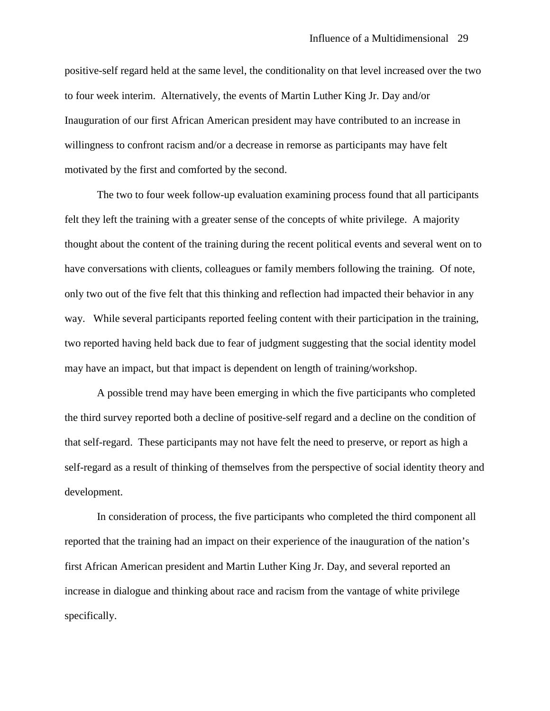positive-self regard held at the same level, the conditionality on that level increased over the two to four week interim. Alternatively, the events of Martin Luther King Jr. Day and/or Inauguration of our first African American president may have contributed to an increase in willingness to confront racism and/or a decrease in remorse as participants may have felt motivated by the first and comforted by the second.

The two to four week follow-up evaluation examining process found that all participants felt they left the training with a greater sense of the concepts of white privilege. A majority thought about the content of the training during the recent political events and several went on to have conversations with clients, colleagues or family members following the training. Of note, only two out of the five felt that this thinking and reflection had impacted their behavior in any way. While several participants reported feeling content with their participation in the training, two reported having held back due to fear of judgment suggesting that the social identity model may have an impact, but that impact is dependent on length of training/workshop.

A possible trend may have been emerging in which the five participants who completed the third survey reported both a decline of positive-self regard and a decline on the condition of that self-regard. These participants may not have felt the need to preserve, or report as high a self-regard as a result of thinking of themselves from the perspective of social identity theory and development.

In consideration of process, the five participants who completed the third component all reported that the training had an impact on their experience of the inauguration of the nation's first African American president and Martin Luther King Jr. Day, and several reported an increase in dialogue and thinking about race and racism from the vantage of white privilege specifically.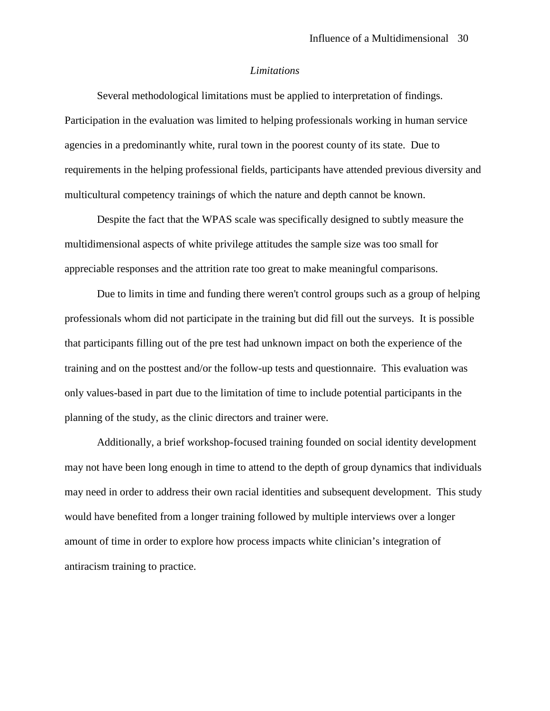#### *Limitations*

Several methodological limitations must be applied to interpretation of findings. Participation in the evaluation was limited to helping professionals working in human service agencies in a predominantly white, rural town in the poorest county of its state. Due to requirements in the helping professional fields, participants have attended previous diversity and multicultural competency trainings of which the nature and depth cannot be known.

Despite the fact that the WPAS scale was specifically designed to subtly measure the multidimensional aspects of white privilege attitudes the sample size was too small for appreciable responses and the attrition rate too great to make meaningful comparisons.

Due to limits in time and funding there weren't control groups such as a group of helping professionals whom did not participate in the training but did fill out the surveys. It is possible that participants filling out of the pre test had unknown impact on both the experience of the training and on the posttest and/or the follow-up tests and questionnaire. This evaluation was only values-based in part due to the limitation of time to include potential participants in the planning of the study, as the clinic directors and trainer were.

Additionally, a brief workshop-focused training founded on social identity development may not have been long enough in time to attend to the depth of group dynamics that individuals may need in order to address their own racial identities and subsequent development. This study would have benefited from a longer training followed by multiple interviews over a longer amount of time in order to explore how process impacts white clinician's integration of antiracism training to practice.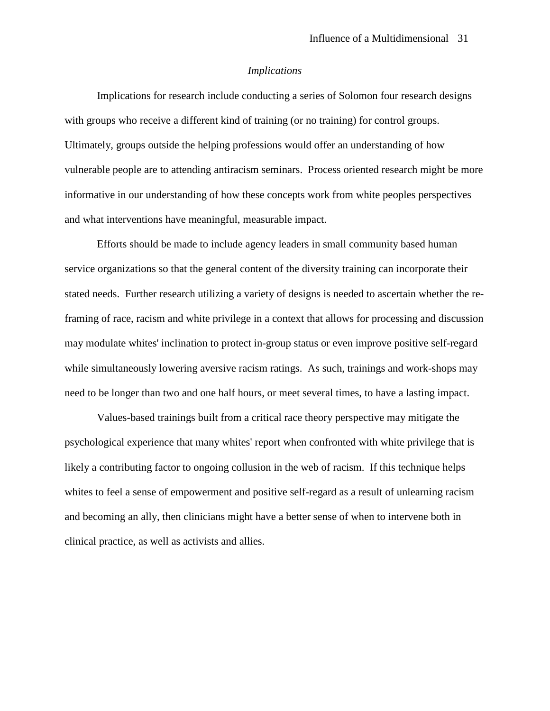#### *Implications*

Implications for research include conducting a series of Solomon four research designs with groups who receive a different kind of training (or no training) for control groups. Ultimately, groups outside the helping professions would offer an understanding of how vulnerable people are to attending antiracism seminars. Process oriented research might be more informative in our understanding of how these concepts work from white peoples perspectives and what interventions have meaningful, measurable impact.

Efforts should be made to include agency leaders in small community based human service organizations so that the general content of the diversity training can incorporate their stated needs. Further research utilizing a variety of designs is needed to ascertain whether the reframing of race, racism and white privilege in a context that allows for processing and discussion may modulate whites' inclination to protect in-group status or even improve positive self-regard while simultaneously lowering aversive racism ratings. As such, trainings and work-shops may need to be longer than two and one half hours, or meet several times, to have a lasting impact.

Values-based trainings built from a critical race theory perspective may mitigate the psychological experience that many whites' report when confronted with white privilege that is likely a contributing factor to ongoing collusion in the web of racism. If this technique helps whites to feel a sense of empowerment and positive self-regard as a result of unlearning racism and becoming an ally, then clinicians might have a better sense of when to intervene both in clinical practice, as well as activists and allies.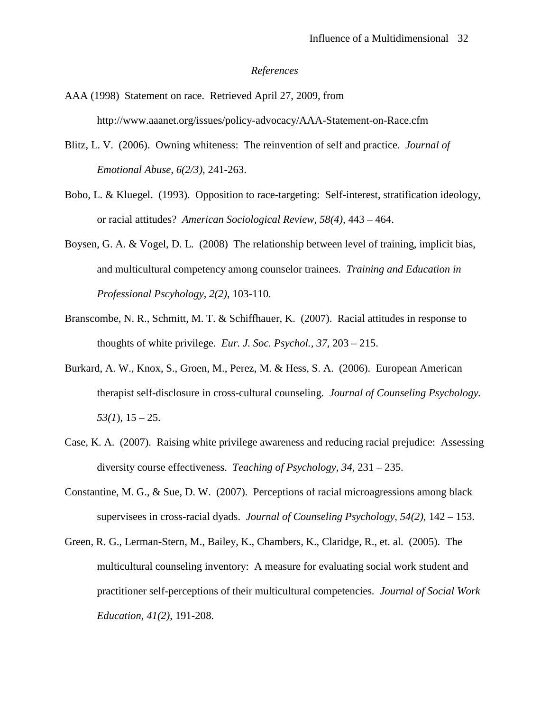#### *References*

- AAA (1998) Statement on race. Retrieved April 27, 2009, from http://www.aaanet.org/issues/policy-advocacy/AAA-Statement-on-Race.cfm
- Blitz, L. V. (2006). Owning whiteness: The reinvention of self and practice. *Journal of Emotional Abuse, 6(2/3)*, 241-263.
- Bobo, L. & Kluegel. (1993). Opposition to race-targeting: Self-interest, stratification ideology, or racial attitudes? *American Sociological Review, 58(4),* 443 – 464.
- Boysen, G. A. & Vogel, D. L. (2008) The relationship between level of training, implicit bias, and multicultural competency among counselor trainees. *Training and Education in Professional Pscyhology, 2(2)*, 103-110.
- Branscombe, N. R., Schmitt, M. T. & Schiffhauer, K. (2007). Racial attitudes in response to thoughts of white privilege. *Eur. J. Soc. Psychol., 37,* 203 – 215.
- Burkard, A. W., Knox, S., Groen, M., Perez, M. & Hess, S. A. (2006). European American therapist self-disclosure in cross-cultural counseling. *Journal of Counseling Psychology.*   $53(1)$ ,  $15 - 25$ .
- Case, K. A. (2007). Raising white privilege awareness and reducing racial prejudice: Assessing diversity course effectiveness. *Teaching of Psychology, 34,* 231 – 235.
- Constantine, M. G., & Sue, D. W. (2007). Perceptions of racial microagressions among black supervisees in cross-racial dyads. *Journal of Counseling Psychology, 54(2),* 142 – 153.
- Green, R. G., Lerman-Stern, M., Bailey, K., Chambers, K., Claridge, R., et. al. (2005). The multicultural counseling inventory: A measure for evaluating social work student and practitioner self-perceptions of their multicultural competencies*. Journal of Social Work Education, 41(2)*, 191-208.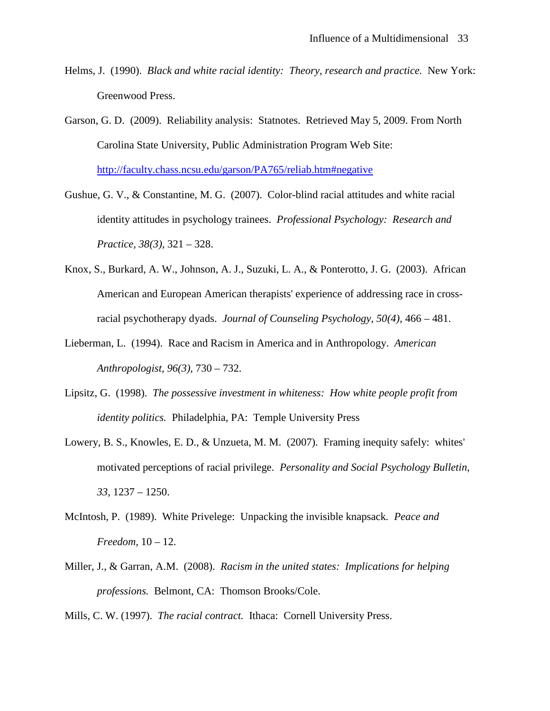- Helms, J. (1990). *Black and white racial identity: Theory, research and practice.* New York: Greenwood Press.
- Garson, G. D. (2009). Reliability analysis: Statnotes. Retrieved May 5, 2009. From North Carolina State University, Public Administration Program Web Site: <http://faculty.chass.ncsu.edu/garson/PA765/reliab.htm#negative>
- Gushue, G. V., & Constantine, M. G. (2007). Color-blind racial attitudes and white racial identity attitudes in psychology trainees. *Professional Psychology: Research and Practice, 38(3),* 321 – 328.
- Knox, S., Burkard, A. W., Johnson, A. J., Suzuki, L. A., & Ponterotto, J. G. (2003). African American and European American therapists' experience of addressing race in crossracial psychotherapy dyads. *Journal of Counseling Psychology, 50(4),* 466 – 481.
- Lieberman, L. (1994). Race and Racism in America and in Anthropology. *American Anthropologist, 96(3),* 730 – 732.
- Lipsitz, G. (1998). *The possessive investment in whiteness: How white people profit from identity politics.* Philadelphia, PA: Temple University Press
- Lowery, B. S., Knowles, E. D., & Unzueta, M. M. (2007). Framing inequity safely: whites' motivated perceptions of racial privilege. *Personality and Social Psychology Bulletin, 33,* 1237 – 1250.
- McIntosh, P. (1989). White Privelege: Unpacking the invisible knapsack*. Peace and Freedom,* 10 – 12.
- Miller, J., & Garran, A.M. (2008). *Racism in the united states: Implications for helping professions.* Belmont, CA: Thomson Brooks/Cole.

Mills, C. W. (1997). *The racial contract.* Ithaca: Cornell University Press.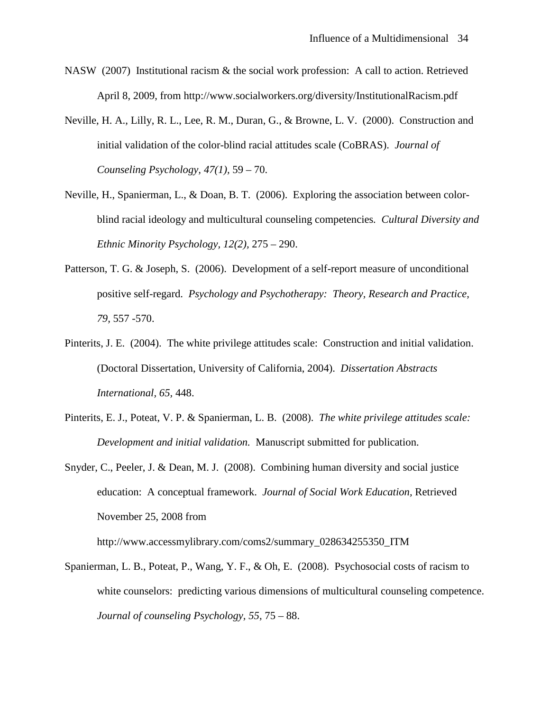- NASW (2007) Institutional racism & the social work profession: A call to action. Retrieved April 8, 2009, from http://www.socialworkers.org/diversity/InstitutionalRacism.pdf
- Neville, H. A., Lilly, R. L., Lee, R. M., Duran, G., & Browne, L. V. (2000). Construction and initial validation of the color-blind racial attitudes scale (CoBRAS). *Journal of Counseling Psychology, 47(1),* 59 – 70.
- Neville, H., Spanierman, L., & Doan, B. T. (2006). Exploring the association between colorblind racial ideology and multicultural counseling competencies*. Cultural Diversity and Ethnic Minority Psychology, 12(2),* 275 – 290.
- Patterson, T. G. & Joseph, S. (2006). Development of a self-report measure of unconditional positive self-regard. *Psychology and Psychotherapy: Theory, Research and Practice, 79,* 557 -570.
- Pinterits, J. E. (2004). The white privilege attitudes scale: Construction and initial validation. (Doctoral Dissertation, University of California, 2004). *Dissertation Abstracts International, 65,* 448.
- Pinterits, E. J., Poteat, V. P. & Spanierman, L. B. (2008). *The white privilege attitudes scale: Development and initial validation.* Manuscript submitted for publication.
- Snyder, C., Peeler, J. & Dean, M. J. (2008). Combining human diversity and social justice education: A conceptual framework. *Journal of Social Work Education,* Retrieved November 25, 2008 from

http://www.accessmylibrary.com/coms2/summary\_028634255350\_ITM

Spanierman, L. B., Poteat, P., Wang, Y. F., & Oh, E. (2008). Psychosocial costs of racism to white counselors: predicting various dimensions of multicultural counseling competence. *Journal of counseling Psychology, 55,* 75 – 88.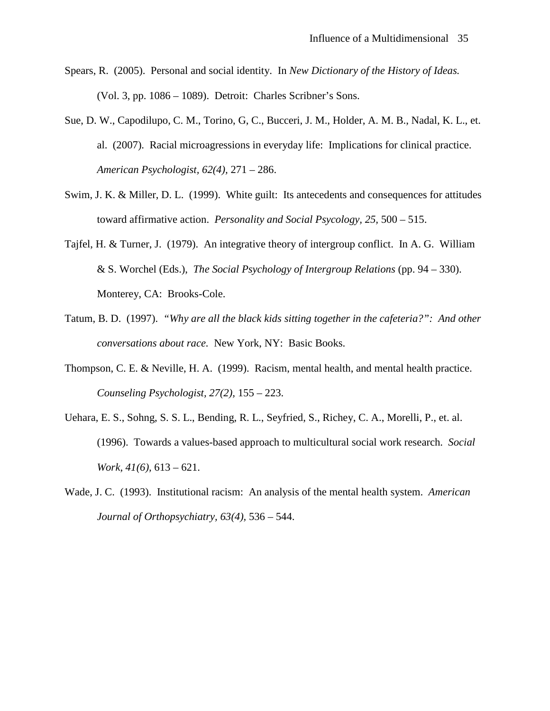- Spears, R. (2005). Personal and social identity. In *New Dictionary of the History of Ideas.* (Vol. 3, pp. 1086 – 1089). Detroit: Charles Scribner's Sons.
- Sue, D. W., Capodilupo, C. M., Torino, G, C., Bucceri, J. M., Holder, A. M. B., Nadal, K. L., et. al. (2007). Racial microagressions in everyday life: Implications for clinical practice. *American Psychologist, 62(4),* 271 – 286.
- Swim, J. K. & Miller, D. L. (1999). White guilt: Its antecedents and consequences for attitudes toward affirmative action. *Personality and Social Psycology, 25,* 500 – 515.
- Tajfel, H. & Turner, J. (1979). An integrative theory of intergroup conflict. In A. G. William & S. Worchel (Eds.), *The Social Psychology of Intergroup Relations* (pp. 94 – 330). Monterey, CA: Brooks-Cole.
- Tatum, B. D. (1997). *"Why are all the black kids sitting together in the cafeteria?": And other conversations about race.* New York, NY: Basic Books.
- Thompson, C. E. & Neville, H. A. (1999). Racism, mental health, and mental health practice. *Counseling Psychologist, 27(2),* 155 – 223.
- Uehara, E. S., Sohng, S. S. L., Bending, R. L., Seyfried, S., Richey, C. A., Morelli, P., et. al. (1996). Towards a values-based approach to multicultural social work research. *Social Work, 41(6),* 613 – 621.
- Wade, J. C. (1993). Institutional racism: An analysis of the mental health system. *American Journal of Orthopsychiatry, 63(4),* 536 – 544.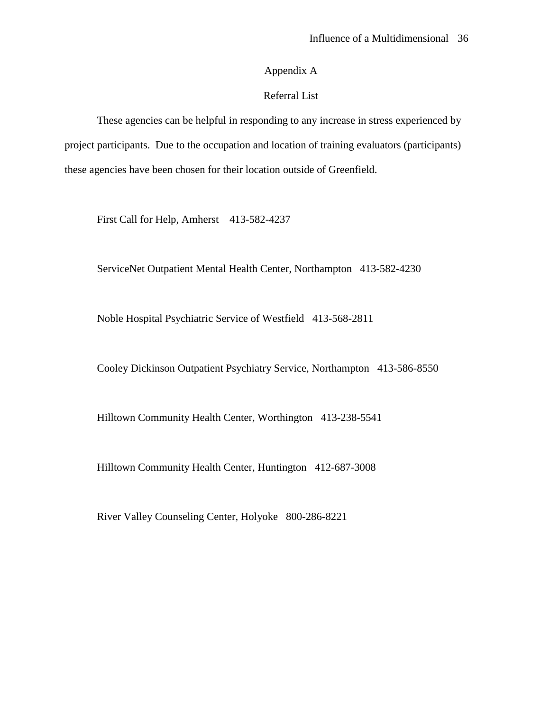## Appendix A

### Referral List

These agencies can be helpful in responding to any increase in stress experienced by project participants. Due to the occupation and location of training evaluators (participants) these agencies have been chosen for their location outside of Greenfield.

First Call for Help, Amherst 413-582-4237

ServiceNet Outpatient Mental Health Center, Northampton 413-582-4230

Noble Hospital Psychiatric Service of Westfield 413-568-2811

Cooley Dickinson Outpatient Psychiatry Service, Northampton 413-586-8550

Hilltown Community Health Center, Worthington 413-238-5541

Hilltown Community Health Center, Huntington 412-687-3008

River Valley Counseling Center, Holyoke 800-286-8221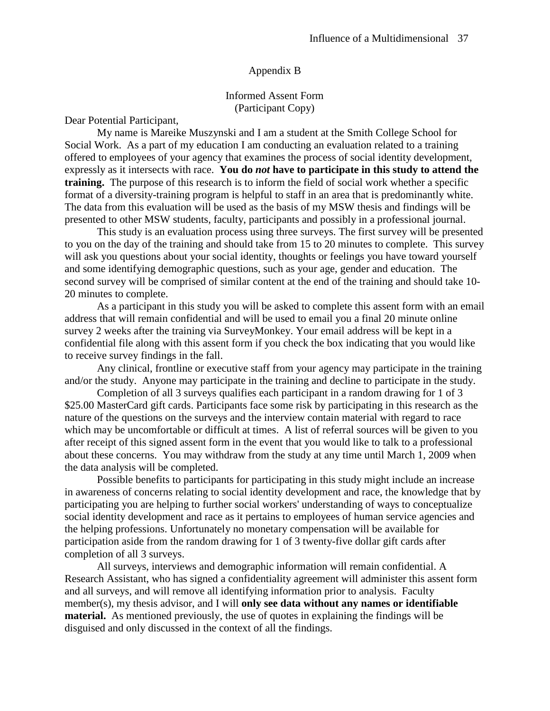#### Appendix B

Informed Assent Form (Participant Copy)

Dear Potential Participant,

My name is Mareike Muszynski and I am a student at the Smith College School for Social Work. As a part of my education I am conducting an evaluation related to a training offered to employees of your agency that examines the process of social identity development, expressly as it intersects with race. **You do** *not* **have to participate in this study to attend the training.** The purpose of this research is to inform the field of social work whether a specific format of a diversity-training program is helpful to staff in an area that is predominantly white. The data from this evaluation will be used as the basis of my MSW thesis and findings will be presented to other MSW students, faculty, participants and possibly in a professional journal.

This study is an evaluation process using three surveys. The first survey will be presented to you on the day of the training and should take from 15 to 20 minutes to complete. This survey will ask you questions about your social identity, thoughts or feelings you have toward yourself and some identifying demographic questions, such as your age, gender and education. The second survey will be comprised of similar content at the end of the training and should take 10- 20 minutes to complete.

As a participant in this study you will be asked to complete this assent form with an email address that will remain confidential and will be used to email you a final 20 minute online survey 2 weeks after the training via SurveyMonkey. Your email address will be kept in a confidential file along with this assent form if you check the box indicating that you would like to receive survey findings in the fall.

Any clinical, frontline or executive staff from your agency may participate in the training and/or the study. Anyone may participate in the training and decline to participate in the study.

Completion of all 3 surveys qualifies each participant in a random drawing for 1 of 3 \$25.00 MasterCard gift cards. Participants face some risk by participating in this research as the nature of the questions on the surveys and the interview contain material with regard to race which may be uncomfortable or difficult at times. A list of referral sources will be given to you after receipt of this signed assent form in the event that you would like to talk to a professional about these concerns. You may withdraw from the study at any time until March 1, 2009 when the data analysis will be completed.

Possible benefits to participants for participating in this study might include an increase in awareness of concerns relating to social identity development and race, the knowledge that by participating you are helping to further social workers' understanding of ways to conceptualize social identity development and race as it pertains to employees of human service agencies and the helping professions. Unfortunately no monetary compensation will be available for participation aside from the random drawing for 1 of 3 twenty-five dollar gift cards after completion of all 3 surveys.

All surveys, interviews and demographic information will remain confidential. A Research Assistant, who has signed a confidentiality agreement will administer this assent form and all surveys, and will remove all identifying information prior to analysis. Faculty member(s), my thesis advisor, and I will **only see data without any names or identifiable material.** As mentioned previously, the use of quotes in explaining the findings will be disguised and only discussed in the context of all the findings.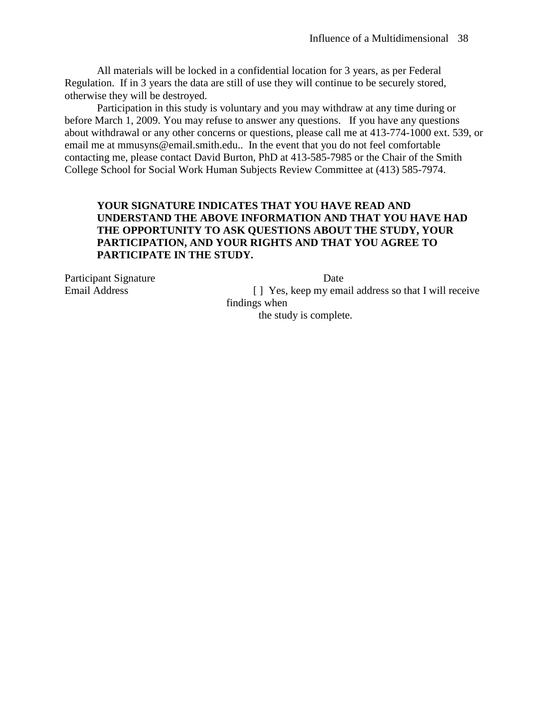All materials will be locked in a confidential location for 3 years, as per Federal Regulation. If in 3 years the data are still of use they will continue to be securely stored, otherwise they will be destroyed.

Participation in this study is voluntary and you may withdraw at any time during or before March 1, 2009. You may refuse to answer any questions. If you have any questions about withdrawal or any other concerns or questions, please call me at 413-774-1000 ext. 539, or email me at mmusyns@email.smith.edu.. In the event that you do not feel comfortable contacting me, please contact David Burton, PhD at 413-585-7985 or the Chair of the Smith College School for Social Work Human Subjects Review Committee at (413) 585-7974.

## **YOUR SIGNATURE INDICATES THAT YOU HAVE READ AND UNDERSTAND THE ABOVE INFORMATION AND THAT YOU HAVE HAD THE OPPORTUNITY TO ASK QUESTIONS ABOUT THE STUDY, YOUR PARTICIPATION, AND YOUR RIGHTS AND THAT YOU AGREE TO PARTICIPATE IN THE STUDY.**

Participant Signature Date

Email Address [ ] Yes, keep my email address so that I will receive findings when the study is complete.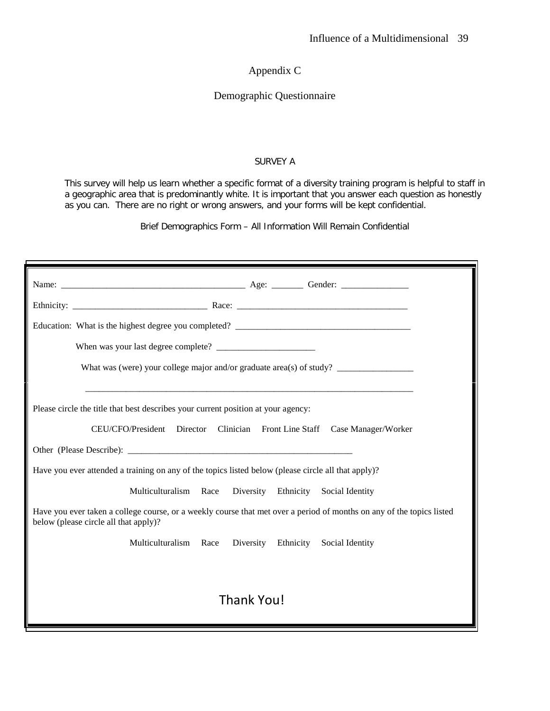Appendix C

#### Demographic Questionnaire

#### SURVEY A

This survey will help us learn whether a specific format of a diversity training program is helpful to staff in a geographic area that is predominantly white. It is important that you answer each question as honestly as you can. There are no right or wrong answers, and your forms will be kept confidential.

Brief Demographics Form – All Information Will Remain Confidential

| What was (were) your college major and/or graduate area(s) of study?                                                                                              |  |  |  |  |  |
|-------------------------------------------------------------------------------------------------------------------------------------------------------------------|--|--|--|--|--|
| Please circle the title that best describes your current position at your agency:<br>CEU/CFO/President Director<br>Clinician Front Line Staff Case Manager/Worker |  |  |  |  |  |
|                                                                                                                                                                   |  |  |  |  |  |
| Have you ever attended a training on any of the topics listed below (please circle all that apply)?                                                               |  |  |  |  |  |
| Multiculturalism Race<br>Diversity Ethnicity Social Identity                                                                                                      |  |  |  |  |  |
| Have you ever taken a college course, or a weekly course that met over a period of months on any of the topics listed<br>below (please circle all that apply)?    |  |  |  |  |  |
| Multiculturalism Race<br>Diversity Ethnicity<br>Social Identity                                                                                                   |  |  |  |  |  |
|                                                                                                                                                                   |  |  |  |  |  |
| Thank You!                                                                                                                                                        |  |  |  |  |  |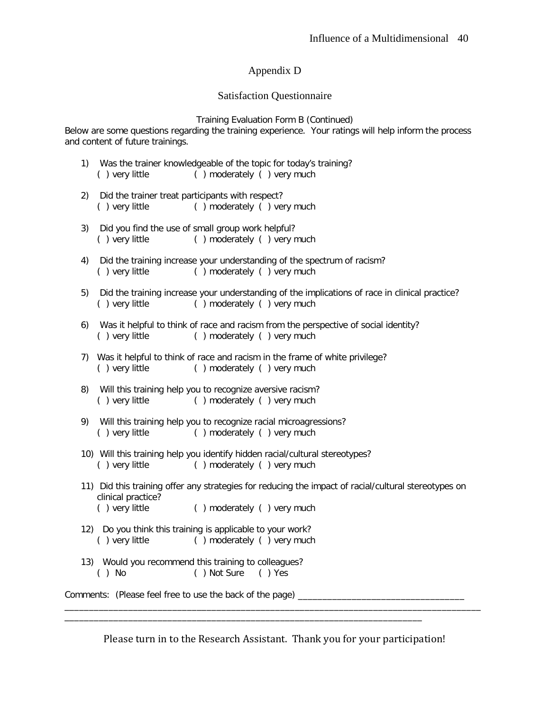## Appendix D

#### Satisfaction Questionnaire

Training Evaluation Form B (Continued)

Below are some questions regarding the training experience. Your ratings will help inform the process and content of future trainings.

- 1) Was the trainer knowledgeable of the topic for today's training? ( ) very little ( ) moderately ( ) very much
- 2) Did the trainer treat participants with respect? ( ) very little ( ) moderately ( ) very much
- 3) Did you find the use of small group work helpful? ( ) very little ( ) moderately ( ) very much
- 4) Did the training increase your understanding of the spectrum of racism? ( ) very little ( ) moderately ( ) very much
- 5) Did the training increase your understanding of the implications of race in clinical practice? ( ) very little ( ) moderately ( ) very much
- 6) Was it helpful to think of race and racism from the perspective of social identity?<br>() very little () moderately () very much ( ) moderately ( ) very much
- 7) Was it helpful to think of race and racism in the frame of white privilege? ( ) very little ( ) moderately ( ) very much
- 8) Will this training help you to recognize aversive racism? ( ) very little ( ) moderately ( ) very much
- 9) Will this training help you to recognize racial microagressions? ( ) very little ( ) moderately ( ) very much
- 10) Will this training help you identify hidden racial/cultural stereotypes? ( ) very little ( ) moderately ( ) very much
- 11) Did this training offer any strategies for reducing the impact of racial/cultural stereotypes on clinical practice? ( ) very little ( ) moderately ( ) very much
	-
- 12) Do you think this training is applicable to your work? ( ) very little ( ) moderately ( ) very much
- 13) Would you recommend this training to colleagues? ( ) No ( ) Not Sure ( ) Yes

Comments: (Please feel free to use the back of the page)

Please turn in to the Research Assistant. Thank you for your participation!

\_\_\_\_\_\_\_\_\_\_\_\_\_\_\_\_\_\_\_\_\_\_\_\_\_\_\_\_\_\_\_\_\_\_\_\_\_\_\_\_\_\_\_\_\_\_\_\_\_\_\_\_\_\_\_\_\_\_\_\_\_\_\_\_\_\_\_\_\_\_\_\_\_\_\_\_\_\_\_\_\_\_\_\_\_

\_\_\_\_\_\_\_\_\_\_\_\_\_\_\_\_\_\_\_\_\_\_\_\_\_\_\_\_\_\_\_\_\_\_\_\_\_\_\_\_\_\_\_\_\_\_\_\_\_\_\_\_\_\_\_\_\_\_\_\_\_\_\_\_\_\_\_\_\_\_\_\_\_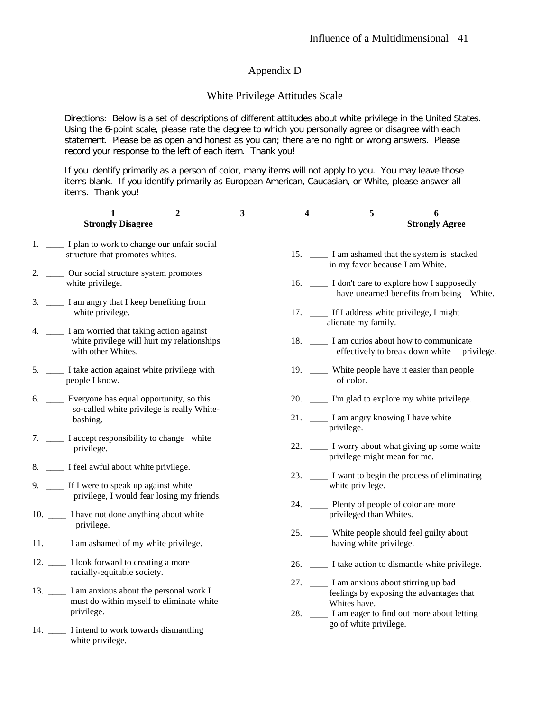### Appendix D

#### White Privilege Attitudes Scale

Directions: Below is a set of descriptions of different attitudes about white privilege in the United States. Using the 6-point scale, please rate the degree to which you personally agree or disagree with each statement. Please be as open and honest as you can; there are no right or wrong answers. Please record your response to the left of each item. Thank you!

If you identify primarily as a person of color, many items will not apply to you. You may leave those items blank. If you identify primarily as European American, Caucasian, or White, please answer all items. Thank you!

| 1<br><b>Strongly Disagree</b>                                                                                        | $\boldsymbol{2}$ | 3 | 4 | 5                                                                         | 6<br><b>Strongly Agree</b>                                                                       |
|----------------------------------------------------------------------------------------------------------------------|------------------|---|---|---------------------------------------------------------------------------|--------------------------------------------------------------------------------------------------|
| 1. ____ I plan to work to change our unfair social<br>structure that promotes whites.                                |                  |   |   | in my favor because I am White.                                           | 15. _______ I am ashamed that the system is stacked                                              |
| 2. ______ Our social structure system promotes<br>white privilege.                                                   |                  |   |   |                                                                           | 16. _______ I don't care to explore how I supposedly<br>have unearned benefits from being White. |
| 3. _____ I am angry that I keep benefiting from<br>white privilege.                                                  |                  |   |   | 17. _____ If I address white privilege, I might<br>alienate my family.    |                                                                                                  |
| 4. _____ I am worried that taking action against<br>white privilege will hurt my relationships<br>with other Whites. |                  |   |   |                                                                           | 18. _______ I am curios about how to communicate<br>effectively to break down white privilege.   |
| 5. ______ I take action against white privilege with<br>people I know.                                               |                  |   |   | of color.                                                                 | 19. _____ White people have it easier than people                                                |
| 6. ____ Everyone has equal opportunity, so this                                                                      |                  |   |   |                                                                           | 20. _____ I'm glad to explore my white privilege.                                                |
| so-called white privilege is really White-<br>bashing.                                                               |                  |   |   | 21. _____ I am angry knowing I have white<br>privilege.                   |                                                                                                  |
| 7. ______ I accept responsibility to change white<br>privilege.                                                      |                  |   |   | privilege might mean for me.                                              | 22. _____ I worry about what giving up some white                                                |
| 8. _____ I feel awful about white privilege.<br>9. ____ If I were to speak up against white                          |                  |   |   | white privilege.                                                          | 23. _____ I want to begin the process of eliminating                                             |
| privilege, I would fear losing my friends.                                                                           |                  |   |   | 24. _____ Plenty of people of color are more                              |                                                                                                  |
| 10. _____ I have not done anything about white<br>privilege.                                                         |                  |   |   | privileged than Whites.                                                   |                                                                                                  |
| 11. _______ I am ashamed of my white privilege.                                                                      |                  |   |   | 25. ____ White people should feel guilty about<br>having white privilege. |                                                                                                  |
| 12. _______ I look forward to creating a more<br>racially-equitable society.                                         |                  |   |   |                                                                           | 26. _____ I take action to dismantle white privilege.                                            |
| 13. ______ I am anxious about the personal work I<br>must do within myself to eliminate white<br>privilege.          |                  |   |   | 27. _____ I am anxious about stirring up bad<br>Whites have.              | feelings by exposing the advantages that<br>28. _____ I am eager to find out more about letting  |
| 14. _______ I intend to work towards dismantling<br>white privilege.                                                 |                  |   |   | go of white privilege.                                                    |                                                                                                  |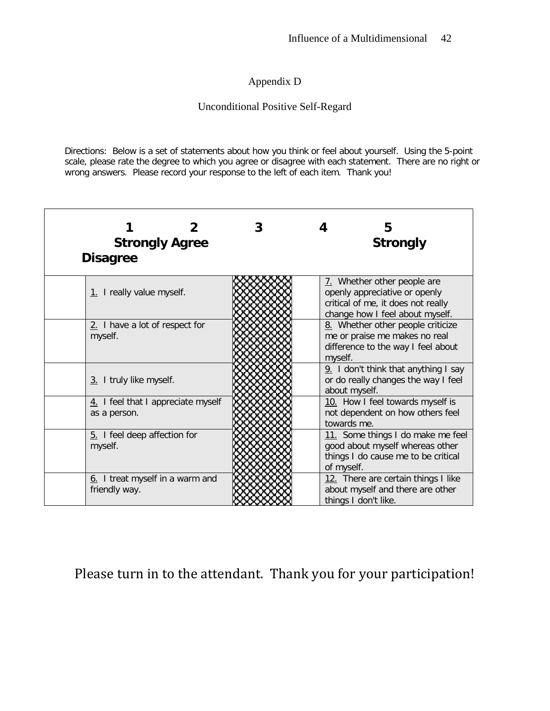## Appendix D

## Unconditional Positive Self-Regard

Directions: Below is a set of statements about how you think or feel about yourself. Using the 5-point scale, please rate the degree to which you agree or disagree with each statement. There are no right or wrong answers. Please record your response to the left of each item. Thank you!

| <b>Strongly Agree</b><br><b>Disagree</b>           | 5<br><b>Strongly</b>                                                                                                                  |
|----------------------------------------------------|---------------------------------------------------------------------------------------------------------------------------------------|
| 1. I really value myself.                          | 7. Whether other people are<br>openly appreciative or openly<br>critical of me, it does not really<br>change how I feel about myself. |
| 2. I have a lot of respect for<br>myself.          | 8. Whether other people criticize<br>me or praise me makes no real<br>difference to the way I feel about<br>myself.                   |
| 3. I truly like myself.                            | 9. I don't think that anything I say<br>or do really changes the way I feel<br>about myself.                                          |
| 4. I feel that I appreciate myself<br>as a person. | 10. How I feel towards myself is<br>not dependent on how others feel<br>towards me.                                                   |
| 5. I feel deep affection for<br>myself.            | 11. Some things I do make me feel<br>good about myself whereas other<br>things I do cause me to be critical<br>of myself.             |
| 6. I treat myself in a warm and<br>friendly way.   | 12. There are certain things I like<br>about myself and there are other<br>things I don't like.                                       |

## Please turn in to the attendant. Thank you for your participation!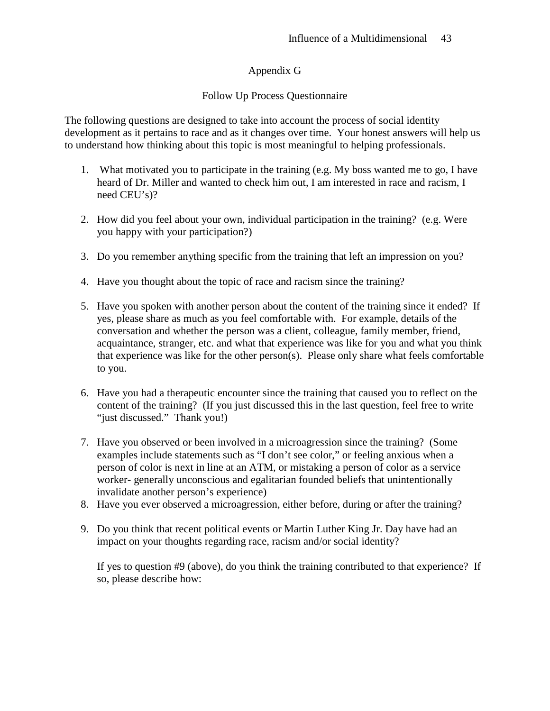## Appendix G

## Follow Up Process Questionnaire

The following questions are designed to take into account the process of social identity development as it pertains to race and as it changes over time. Your honest answers will help us to understand how thinking about this topic is most meaningful to helping professionals.

- 1. What motivated you to participate in the training (e.g. My boss wanted me to go, I have heard of Dr. Miller and wanted to check him out, I am interested in race and racism, I need CEU's)?
- 2. How did you feel about your own, individual participation in the training? (e.g. Were you happy with your participation?)
- 3. Do you remember anything specific from the training that left an impression on you?
- 4. Have you thought about the topic of race and racism since the training?
- 5. Have you spoken with another person about the content of the training since it ended? If yes, please share as much as you feel comfortable with. For example, details of the conversation and whether the person was a client, colleague, family member, friend, acquaintance, stranger, etc. and what that experience was like for you and what you think that experience was like for the other person(s). Please only share what feels comfortable to you.
- 6. Have you had a therapeutic encounter since the training that caused you to reflect on the content of the training? (If you just discussed this in the last question, feel free to write "just discussed." Thank you!)
- 7. Have you observed or been involved in a microagression since the training? (Some examples include statements such as "I don't see color," or feeling anxious when a person of color is next in line at an ATM, or mistaking a person of color as a service worker- generally unconscious and egalitarian founded beliefs that unintentionally invalidate another person's experience)
- 8. Have you ever observed a microagression, either before, during or after the training?
- 9. Do you think that recent political events or Martin Luther King Jr. Day have had an impact on your thoughts regarding race, racism and/or social identity?

If yes to question #9 (above), do you think the training contributed to that experience? If so, please describe how: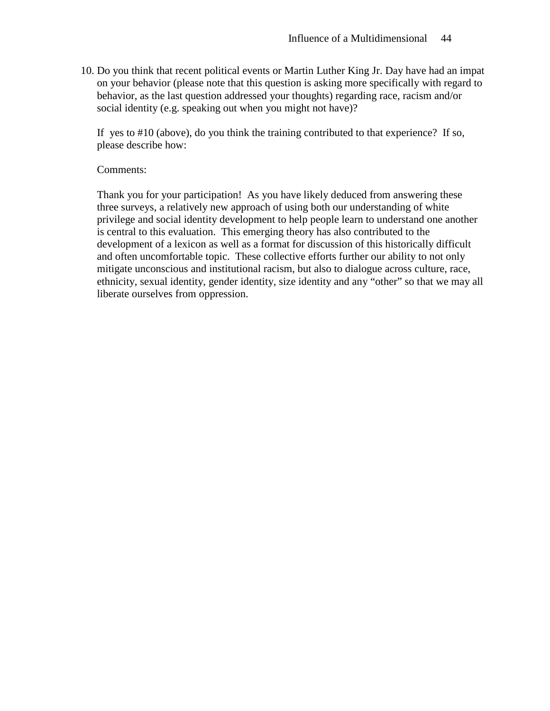10. Do you think that recent political events or Martin Luther King Jr. Day have had an impat on your behavior (please note that this question is asking more specifically with regard to behavior, as the last question addressed your thoughts) regarding race, racism and/or social identity (e.g. speaking out when you might not have)?

If yes to #10 (above), do you think the training contributed to that experience? If so, please describe how:

#### Comments:

Thank you for your participation! As you have likely deduced from answering these three surveys, a relatively new approach of using both our understanding of white privilege and social identity development to help people learn to understand one another is central to this evaluation. This emerging theory has also contributed to the development of a lexicon as well as a format for discussion of this historically difficult and often uncomfortable topic. These collective efforts further our ability to not only mitigate unconscious and institutional racism, but also to dialogue across culture, race, ethnicity, sexual identity, gender identity, size identity and any "other" so that we may all liberate ourselves from oppression.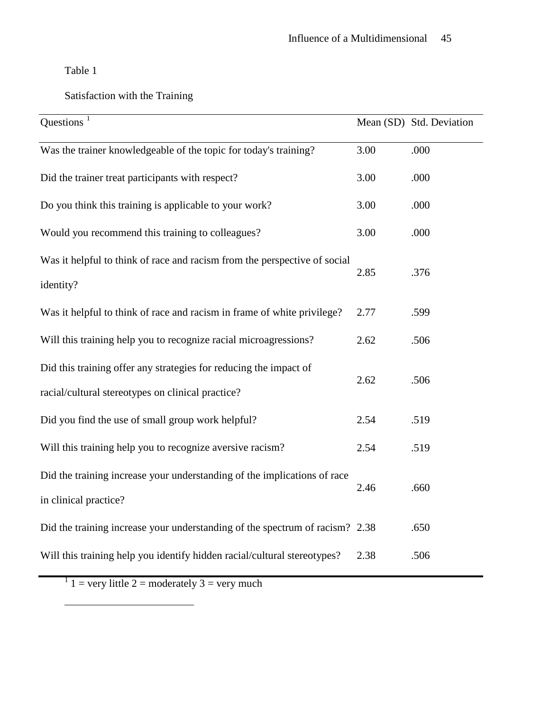Table 1

## Satisfaction with the Training

| Questions $1$                                                                                                          |      | Mean (SD) Std. Deviation |
|------------------------------------------------------------------------------------------------------------------------|------|--------------------------|
| Was the trainer knowledgeable of the topic for today's training?                                                       | 3.00 | .000                     |
| Did the trainer treat participants with respect?                                                                       | 3.00 | .000                     |
| Do you think this training is applicable to your work?                                                                 | 3.00 | .000                     |
| Would you recommend this training to colleagues?                                                                       | 3.00 | .000                     |
| Was it helpful to think of race and racism from the perspective of social<br>identity?                                 | 2.85 | .376                     |
| Was it helpful to think of race and racism in frame of white privilege?                                                | 2.77 | .599                     |
| Will this training help you to recognize racial microagressions?                                                       | 2.62 | .506                     |
| Did this training offer any strategies for reducing the impact of<br>racial/cultural stereotypes on clinical practice? | 2.62 | .506                     |
| Did you find the use of small group work helpful?                                                                      | 2.54 | .519                     |
| Will this training help you to recognize aversive racism?                                                              | 2.54 | .519                     |
| Did the training increase your understanding of the implications of race<br>in clinical practice?                      | 2.46 | .660                     |
| Did the training increase your understanding of the spectrum of racism? 2.38                                           |      | .650                     |
| Will this training help you identify hidden racial/cultural stereotypes?                                               | 2.38 | .506                     |

 $1 \text{ } 1$  = very little 2 = moderately 3 = very much

<span id="page-45-0"></span> $\overline{a}$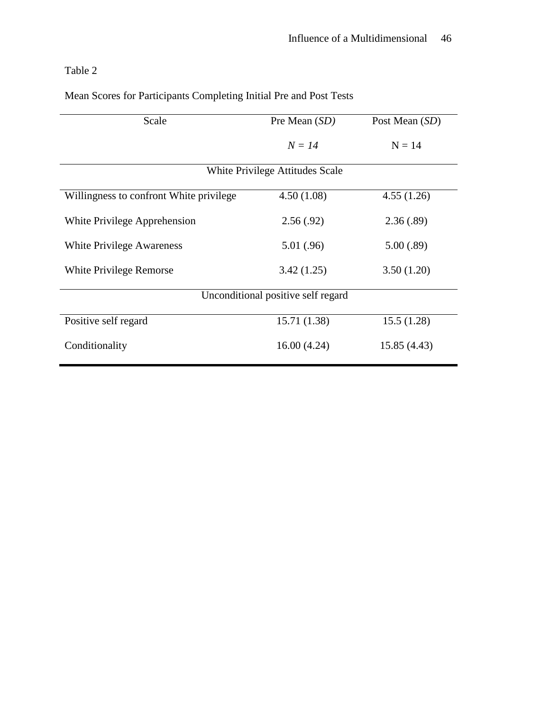Table 2

| Scale                                   | Pre Mean (SD) | Post Mean (SD) |  |  |  |
|-----------------------------------------|---------------|----------------|--|--|--|
|                                         | $N = 14$      | $N = 14$       |  |  |  |
| <b>White Privilege Attitudes Scale</b>  |               |                |  |  |  |
| Willingness to confront White privilege | 4.50(1.08)    | 4.55(1.26)     |  |  |  |
| White Privilege Apprehension            | 2.56(.92)     | 2.36(.89)      |  |  |  |
| White Privilege Awareness               | 5.01(.96)     | 5.00(.89)      |  |  |  |
| White Privilege Remorse                 | 3.42(1.25)    | 3.50(1.20)     |  |  |  |
| Unconditional positive self regard      |               |                |  |  |  |
| Positive self regard                    | 15.71 (1.38)  | 15.5(1.28)     |  |  |  |
| Conditionality                          | 16.00(4.24)   | 15.85 (4.43)   |  |  |  |

Mean Scores for Participants Completing Initial Pre and Post Tests